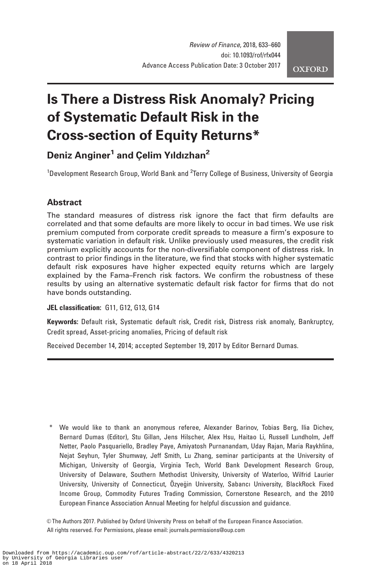# Is There a Distress Risk Anomaly? Pricing of Systematic Default Risk in the Cross-section of Equity Returns\*

# Deniz Anginer<sup>1</sup> and Celim Yıldızhan<sup>2</sup>

<sup>1</sup>Development Research Group, World Bank and <sup>2</sup>Terry College of Business, University of Georgia

# **Abstract**

The standard measures of distress risk ignore the fact that firm defaults are correlated and that some defaults are more likely to occur in bad times. We use risk premium computed from corporate credit spreads to measure a firm's exposure to systematic variation in default risk. Unlike previously used measures, the credit risk premium explicitly accounts for the non-diversifiable component of distress risk. In contrast to prior findings in the literature, we find that stocks with higher systematic default risk exposures have higher expected equity returns which are largely explained by the Fama–French risk factors. We confirm the robustness of these results by using an alternative systematic default risk factor for firms that do not have bonds outstanding.

JEL classification: G11, G12, G13, G14

Keywords: Default risk, Systematic default risk, Credit risk, Distress risk anomaly, Bankruptcy, Credit spread, Asset-pricing anomalies, Pricing of default risk

Received December 14, 2014; accepted September 19, 2017 by Editor Bernard Dumas.

\* We would like to thank an anonymous referee, Alexander Barinov, Tobias Berg, Ilia Dichev, Bernard Dumas (Editor), Stu Gillan, Jens Hilscher, Alex Hsu, Haitao Li, Russell Lundholm, Jeff Netter, Paolo Pasquariello, Bradley Paye, Amiyatosh Purnanandam, Uday Rajan, Maria Raykhlina, Nejat Seyhun, Tyler Shumway, Jeff Smith, Lu Zhang, seminar participants at the University of Michigan, University of Georgia, Virginia Tech, World Bank Development Research Group, University of Delaware, Southern Methodist University, University of Waterloo, Wilfrid Laurier University, University of Connecticut, Özyeğin University, Sabancı University, BlackRock Fixed Income Group, Commodity Futures Trading Commission, Cornerstone Research, and the 2010 European Finance Association Annual Meeting for helpful discussion and guidance.

V<sup>C</sup> The Authors 2017. Published by Oxford University Press on behalf of the European Finance Association. All rights reserved. For Permissions, please email: journals.permissions@oup.com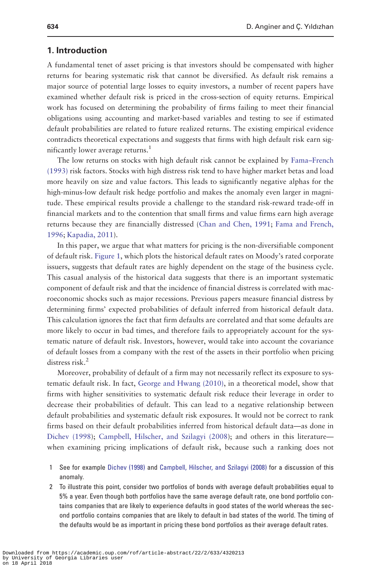#### 1. Introduction

A fundamental tenet of asset pricing is that investors should be compensated with higher returns for bearing systematic risk that cannot be diversified. As default risk remains a major source of potential large losses to equity investors, a number of recent papers have examined whether default risk is priced in the cross-section of equity returns. Empirical work has focused on determining the probability of firms failing to meet their financial obligations using accounting and market-based variables and testing to see if estimated default probabilities are related to future realized returns. The existing empirical evidence contradicts theoretical expectations and suggests that firms with high default risk earn significantly lower average returns.<sup>1</sup>

The low returns on stocks with high default risk cannot be explained by [Fama–French](#page-25-0) [\(1993\)](#page-25-0) risk factors. Stocks with high distress risk tend to have higher market betas and load more heavily on size and value factors. This leads to significantly negative alphas for the high-minus-low default risk hedge portfolio and makes the anomaly even larger in magnitude. These empirical results provide a challenge to the standard risk-reward trade-off in financial markets and to the contention that small firms and value firms earn high average returns because they are financially distressed [\(Chan and Chen, 1991](#page-24-0); [Fama and French,](#page-25-0) [1996](#page-25-0); [Kapadia, 2011\)](#page-25-0).

In this paper, we argue that what matters for pricing is the non-diversifiable component of default risk. [Figure 1,](#page-2-0) which plots the historical default rates on Moody's rated corporate issuers, suggests that default rates are highly dependent on the stage of the business cycle. This casual analysis of the historical data suggests that there is an important systematic component of default risk and that the incidence of financial distress is correlated with macroeconomic shocks such as major recessions. Previous papers measure financial distress by determining firms' expected probabilities of default inferred from historical default data. This calculation ignores the fact that firm defaults are correlated and that some defaults are more likely to occur in bad times, and therefore fails to appropriately account for the systematic nature of default risk. Investors, however, would take into account the covariance of default losses from a company with the rest of the assets in their portfolio when pricing distress risk.<sup>2</sup>

Moreover, probability of default of a firm may not necessarily reflect its exposure to systematic default risk. In fact, [George and Hwang \(2010\),](#page-25-0) in a theoretical model, show that firms with higher sensitivities to systematic default risk reduce their leverage in order to decrease their probabilities of default. This can lead to a negative relationship between default probabilities and systematic default risk exposures. It would not be correct to rank firms based on their default probabilities inferred from historical default data—as done in [Dichev \(1998\)](#page-24-0); [Campbell, Hilscher, and Szilagyi \(2008](#page-24-0)); and others in this literature when examining pricing implications of default risk, because such a ranking does not

- 1 See for example [Dichev \(1998\)](#page-24-0) and [Campbell, Hilscher, and Szilagyi \(2008\)](#page-24-0) for a discussion of this anomaly.
- 2 To illustrate this point, consider two portfolios of bonds with average default probabilities equal to 5% a year. Even though both portfolios have the same average default rate, one bond portfolio contains companies that are likely to experience defaults in good states of the world whereas the second portfolio contains companies that are likely to default in bad states of the world. The timing of the defaults would be as important in pricing these bond portfolios as their average default rates.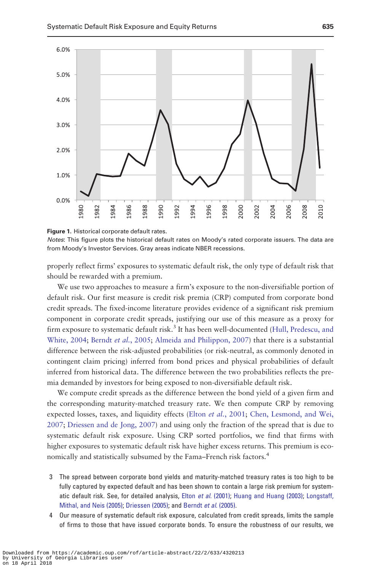<span id="page-2-0"></span>

Figure 1. Historical corporate default rates.

Notes: This figure plots the historical default rates on Moody's rated corporate issuers. The data are from Moody's Investor Services. Gray areas indicate NBER recessions.

properly reflect firms' exposures to systematic default risk, the only type of default risk that should be rewarded with a premium.

We use two approaches to measure a firm's exposure to the non-diversifiable portion of default risk. Our first measure is credit risk premia (CRP) computed from corporate bond credit spreads. The fixed-income literature provides evidence of a significant risk premium component in corporate credit spreads, justifying our use of this measure as a proxy for firm exposure to systematic default risk.<sup>3</sup> It has been well-documented [\(Hull, Predescu, and](#page-25-0) [White, 2004;](#page-25-0) [Berndt](#page-24-0) et al., 2005; [Almeida and Philippon, 2007\)](#page-24-0) that there is a substantial difference between the risk-adjusted probabilities (or risk-neutral, as commonly denoted in contingent claim pricing) inferred from bond prices and physical probabilities of default inferred from historical data. The difference between the two probabilities reflects the premia demanded by investors for being exposed to non-diversifiable default risk.

We compute credit spreads as the difference between the bond yield of a given firm and the corresponding maturity-matched treasury rate. We then compute CRP by removing expected losses, taxes, and liquidity effects (Elton et al.[, 2001](#page-25-0); [Chen, Lesmond, and Wei,](#page-24-0) [2007](#page-24-0); [Driessen and de Jong, 2007](#page-25-0)) and using only the fraction of the spread that is due to systematic default risk exposure. Using CRP sorted portfolios, we find that firms with higher exposures to systematic default risk have higher excess returns. This premium is economically and statistically subsumed by the Fama–French risk factors.<sup>4</sup>

- 3 The spread between corporate bond yields and maturity-matched treasury rates is too high to be fully captured by expected default and has been shown to contain a large risk premium for system-atic default risk. See, for detailed analysis, Elton et al. [\(2001\)](#page-25-0); [Huang and Huang \(2003\);](#page-25-0) [Longstaff,](#page-25-0) [Mithal, and Neis \(2005\)](#page-25-0); [Driessen \(2005\)](#page-25-0); and [Berndt](#page-24-0) et al. (2005).
- 4 Our measure of systematic default risk exposure, calculated from credit spreads, limits the sample of firms to those that have issued corporate bonds. To ensure the robustness of our results, we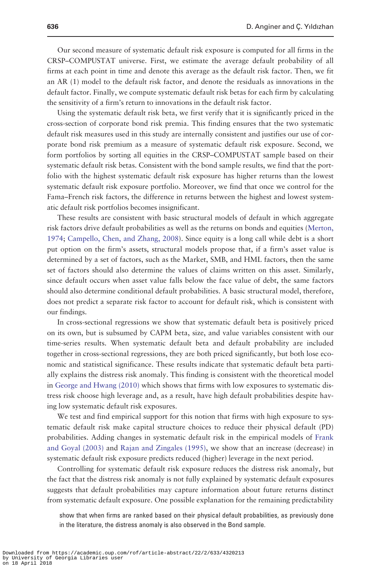Our second measure of systematic default risk exposure is computed for all firms in the CRSP–COMPUSTAT universe. First, we estimate the average default probability of all firms at each point in time and denote this average as the default risk factor. Then, we fit an AR (1) model to the default risk factor, and denote the residuals as innovations in the default factor. Finally, we compute systematic default risk betas for each firm by calculating the sensitivity of a firm's return to innovations in the default risk factor.

Using the systematic default risk beta, we first verify that it is significantly priced in the cross-section of corporate bond risk premia. This finding ensures that the two systematic default risk measures used in this study are internally consistent and justifies our use of corporate bond risk premium as a measure of systematic default risk exposure. Second, we form portfolios by sorting all equities in the CRSP–COMPUSTAT sample based on their systematic default risk betas. Consistent with the bond sample results, we find that the portfolio with the highest systematic default risk exposure has higher returns than the lowest systematic default risk exposure portfolio. Moreover, we find that once we control for the Fama–French risk factors, the difference in returns between the highest and lowest systematic default risk portfolios becomes insignificant.

These results are consistent with basic structural models of default in which aggregate risk factors drive default probabilities as well as the returns on bonds and equities [\(Merton,](#page-25-0) [1974](#page-25-0); [Campello, Chen, and Zhang, 2008\)](#page-24-0). Since equity is a long call while debt is a short put option on the firm's assets, structural models propose that, if a firm's asset value is determined by a set of factors, such as the Market, SMB, and HML factors, then the same set of factors should also determine the values of claims written on this asset. Similarly, since default occurs when asset value falls below the face value of debt, the same factors should also determine conditional default probabilities. A basic structural model, therefore, does not predict a separate risk factor to account for default risk, which is consistent with our findings.

In cross-sectional regressions we show that systematic default beta is positively priced on its own, but is subsumed by CAPM beta, size, and value variables consistent with our time-series results. When systematic default beta and default probability are included together in cross-sectional regressions, they are both priced significantly, but both lose economic and statistical significance. These results indicate that systematic default beta partially explains the distress risk anomaly. This finding is consistent with the theoretical model in [George and Hwang \(2010\)](#page-25-0) which shows that firms with low exposures to systematic distress risk choose high leverage and, as a result, have high default probabilities despite having low systematic default risk exposures.

We test and find empirical support for this notion that firms with high exposure to systematic default risk make capital structure choices to reduce their physical default (PD) probabilities. Adding changes in systematic default risk in the empirical models of [Frank](#page-25-0) [and Goyal \(2003\)](#page-25-0) and [Rajan and Zingales \(1995\)](#page-26-0), we show that an increase (decrease) in systematic default risk exposure predicts reduced (higher) leverage in the next period.

Controlling for systematic default risk exposure reduces the distress risk anomaly, but the fact that the distress risk anomaly is not fully explained by systematic default exposures suggests that default probabilities may capture information about future returns distinct from systematic default exposure. One possible explanation for the remaining predictability

show that when firms are ranked based on their physical default probabilities, as previously done in the literature, the distress anomaly is also observed in the Bond sample.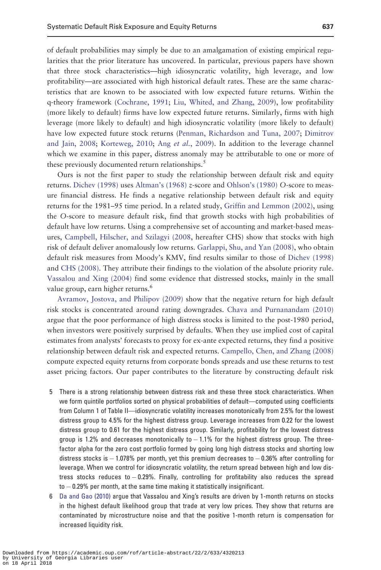of default probabilities may simply be due to an amalgamation of existing empirical regularities that the prior literature has uncovered. In particular, previous papers have shown that three stock characteristics—high idiosyncratic volatility, high leverage, and low profitability—are associated with high historical default rates. These are the same characteristics that are known to be associated with low expected future returns. Within the q-theory framework ([Cochrane, 1991;](#page-24-0) [Liu, Whited, and Zhang, 2009\)](#page-25-0), low profitability (more likely to default) firms have low expected future returns. Similarly, firms with high leverage (more likely to default) and high idiosyncratic volatility (more likely to default) have low expected future stock returns [\(Penman, Richardson and Tuna, 2007](#page-26-0); [Dimitrov](#page-25-0) [and Jain, 2008](#page-25-0); [Korteweg, 2010](#page-25-0); Ang et al.[, 2009\)](#page-24-0). In addition to the leverage channel which we examine in this paper, distress anomaly may be attributable to one or more of these previously documented return relationships.<sup>5</sup>

Ours is not the first paper to study the relationship between default risk and equity returns. [Dichev \(1998\)](#page-24-0) uses [Altman's \(1968\)](#page-24-0) z-score and [Ohlson's \(1980\)](#page-26-0) O-score to measure financial distress. He finds a negative relationship between default risk and equity returns for the 1981–95 time period. In a related study, [Griffin and Lemmon \(2002\),](#page-25-0) using the O-score to measure default risk, find that growth stocks with high probabilities of default have low returns. Using a comprehensive set of accounting and market-based measures, [Campbell, Hilscher, and Szilagyi \(2008,](#page-24-0) hereafter CHS) show that stocks with high risk of default deliver anomalously low returns. [Garlappi, Shu, and Yan \(2008\),](#page-25-0) who obtain default risk measures from Moody's KMV, find results similar to those of [Dichev \(1998\)](#page-24-0) and [CHS \(2008\).](#page-24-0) They attribute their findings to the violation of the absolute priority rule. [Vassalou and Xing \(2004\)](#page-26-0) find some evidence that distressed stocks, mainly in the small value group, earn higher returns.<sup>6</sup>

[Avramov, Jostova, and Philipov \(2009\)](#page-24-0) show that the negative return for high default risk stocks is concentrated around rating downgrades. [Chava and Purnanandam \(2010\)](#page-24-0) argue that the poor performance of high distress stocks is limited to the post-1980 period, when investors were positively surprised by defaults. When they use implied cost of capital estimates from analysts' forecasts to proxy for ex-ante expected returns, they find a positive relationship between default risk and expected returns. [Campello, Chen, and Zhang \(2008\)](#page-24-0) compute expected equity returns from corporate bonds spreads and use these returns to test asset pricing factors. Our paper contributes to the literature by constructing default risk

- 5 There is a strong relationship between distress risk and these three stock characteristics. When we form quintile portfolios sorted on physical probabilities of default—computed using coefficients from Column 1 of Table II—idiosyncratic volatility increases monotonically from 2.5% for the lowest distress group to 4.5% for the highest distress group. Leverage increases from 0.22 for the lowest distress group to 0.61 for the highest distress group. Similarly, profitability for the lowest distress group is 1.2% and decreases monotonically to  $-1.1\%$  for the highest distress group. The threefactor alpha for the zero cost portfolio formed by going long high distress stocks and shorting low distress stocks is  $-1.078\%$  per month, yet this premium decreases to  $-0.36\%$  after controlling for leverage. When we control for idiosyncratic volatility, the return spread between high and low distress stocks reduces to - 0.29%. Finally, controlling for profitability also reduces the spread to  $-$  0.29% per month, at the same time making it statistically insignificant.
- 6 [Da and Gao \(2010\)](#page-24-0) argue that Vassalou and Xing's results are driven by 1-month returns on stocks in the highest default likelihood group that trade at very low prices. They show that returns are contaminated by microstructure noise and that the positive 1-month return is compensation for increased liquidity risk.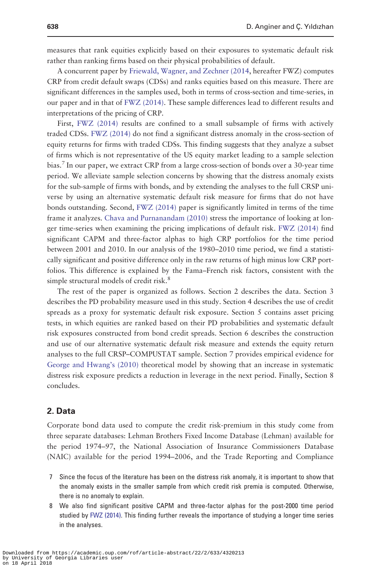measures that rank equities explicitly based on their exposures to systematic default risk rather than ranking firms based on their physical probabilities of default.

A concurrent paper by [Friewald, Wagner, and Zechner \(2014,](#page-25-0) hereafter FWZ) computes CRP from credit default swaps (CDSs) and ranks equities based on this measure. There are significant differences in the samples used, both in terms of cross-section and time-series, in our paper and in that of [FWZ \(2014\)](#page-25-0). These sample differences lead to different results and interpretations of the pricing of CRP.

First, [FWZ \(2014\)](#page-25-0) results are confined to a small subsample of firms with actively traded CDSs. [FWZ \(2014\)](#page-25-0) do not find a significant distress anomaly in the cross-section of equity returns for firms with traded CDSs. This finding suggests that they analyze a subset of firms which is not representative of the US equity market leading to a sample selection bias.<sup>7</sup> In our paper, we extract CRP from a large cross-section of bonds over a 30-year time period. We alleviate sample selection concerns by showing that the distress anomaly exists for the sub-sample of firms with bonds, and by extending the analyses to the full CRSP universe by using an alternative systematic default risk measure for firms that do not have bonds outstanding. Second, [FWZ \(2014\)](#page-25-0) paper is significantly limited in terms of the time frame it analyzes. [Chava and Purnanandam \(2010\)](#page-24-0) stress the importance of looking at longer time-series when examining the pricing implications of default risk. [FWZ \(2014\)](#page-25-0) find significant CAPM and three-factor alphas to high CRP portfolios for the time period between 2001 and 2010. In our analysis of the 1980–2010 time period, we find a statistically significant and positive difference only in the raw returns of high minus low CRP portfolios. This difference is explained by the Fama–French risk factors, consistent with the simple structural models of credit risk.<sup>8</sup>

The rest of the paper is organized as follows. Section 2 describes the data. Section 3 describes the PD probability measure used in this study. Section 4 describes the use of credit spreads as a proxy for systematic default risk exposure. Section 5 contains asset pricing tests, in which equities are ranked based on their PD probabilities and systematic default risk exposures constructed from bond credit spreads. Section 6 describes the construction and use of our alternative systematic default risk measure and extends the equity return analyses to the full CRSP–COMPUSTAT sample. Section 7 provides empirical evidence for [George and Hwang's \(2010\)](#page-25-0) theoretical model by showing that an increase in systematic distress risk exposure predicts a reduction in leverage in the next period. Finally, Section 8 concludes.

#### 2. Data

Corporate bond data used to compute the credit risk-premium in this study come from three separate databases: Lehman Brothers Fixed Income Database (Lehman) available for the period 1974–97, the National Association of Insurance Commissioners Database (NAIC) available for the period 1994–2006, and the Trade Reporting and Compliance

- 7 Since the focus of the literature has been on the distress risk anomaly, it is important to show that the anomaly exists in the smaller sample from which credit risk premia is computed. Otherwise, there is no anomaly to explain.
- 8 We also find significant positive CAPM and three-factor alphas for the post-2000 time period studied by [FWZ \(2014\)](#page-25-0). This finding further reveals the importance of studying a longer time series in the analyses.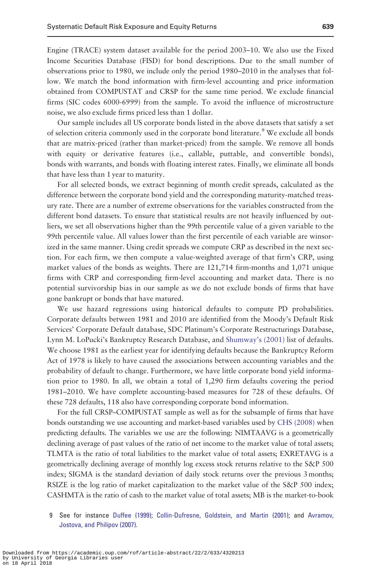Engine (TRACE) system dataset available for the period 2003–10. We also use the Fixed Income Securities Database (FISD) for bond descriptions. Due to the small number of observations prior to 1980, we include only the period 1980–2010 in the analyses that follow. We match the bond information with firm-level accounting and price information obtained from COMPUSTAT and CRSP for the same time period. We exclude financial firms (SIC codes 6000-6999) from the sample. To avoid the influence of microstructure noise, we also exclude firms priced less than 1 dollar.

Our sample includes all US corporate bonds listed in the above datasets that satisfy a set of selection criteria commonly used in the corporate bond literature.<sup>9</sup> We exclude all bonds that are matrix-priced (rather than market-priced) from the sample. We remove all bonds with equity or derivative features (i.e., callable, puttable, and convertible bonds), bonds with warrants, and bonds with floating interest rates. Finally, we eliminate all bonds that have less than 1 year to maturity.

For all selected bonds, we extract beginning of month credit spreads, calculated as the difference between the corporate bond yield and the corresponding maturity-matched treasury rate. There are a number of extreme observations for the variables constructed from the different bond datasets. To ensure that statistical results are not heavily influenced by outliers, we set all observations higher than the 99th percentile value of a given variable to the 99th percentile value. All values lower than the first percentile of each variable are winsorized in the same manner. Using credit spreads we compute CRP as described in the next section. For each firm, we then compute a value-weighted average of that firm's CRP, using market values of the bonds as weights. There are 121,714 firm-months and 1,071 unique firms with CRP and corresponding firm-level accounting and market data. There is no potential survivorship bias in our sample as we do not exclude bonds of firms that have gone bankrupt or bonds that have matured.

We use hazard regressions using historical defaults to compute PD probabilities. Corporate defaults between 1981 and 2010 are identified from the Moody's Default Risk Services' Corporate Default database, SDC Platinum's Corporate Restructurings Database, Lynn M. LoPucki's Bankruptcy Research Database, and [Shumway's \(2001\)](#page-26-0) list of defaults. We choose 1981 as the earliest year for identifying defaults because the Bankruptcy Reform Act of 1978 is likely to have caused the associations between accounting variables and the probability of default to change. Furthermore, we have little corporate bond yield information prior to 1980. In all, we obtain a total of 1,290 firm defaults covering the period 1981–2010. We have complete accounting-based measures for 728 of these defaults. Of these 728 defaults, 118 also have corresponding corporate bond information.

For the full CRSP–COMPUSTAT sample as well as for the subsample of firms that have bonds outstanding we use accounting and market-based variables used by [CHS \(2008\)](#page-24-0) when predicting defaults. The variables we use are the following: NIMTAAVG is a geometrically declining average of past values of the ratio of net income to the market value of total assets; TLMTA is the ratio of total liabilities to the market value of total assets; EXRETAVG is a geometrically declining average of monthly log excess stock returns relative to the S&P 500 index; SIGMA is the standard deviation of daily stock returns over the previous 3 months; RSIZE is the log ratio of market capitalization to the market value of the S&P 500 index; CASHMTA is the ratio of cash to the market value of total assets; MB is the market-to-book

9 See for instance [Duffee \(1999\);](#page-25-0) [Collin-Dufresne, Goldstein, and Martin \(2001\)](#page-24-0); and [Avramov,](#page-24-0) [Jostova, and Philipov \(2007\)](#page-24-0).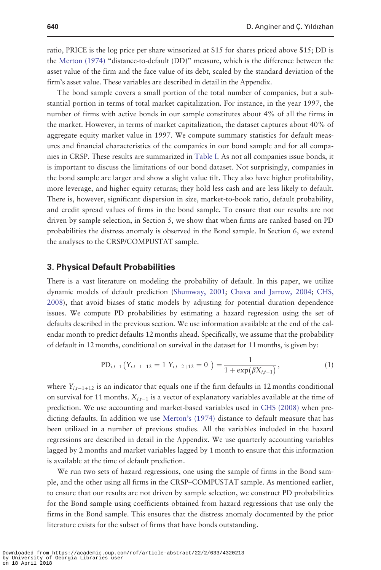ratio, PRICE is the log price per share winsorized at \$15 for shares priced above \$15; DD is the [Merton \(1974\)](#page-25-0) "distance-to-default (DD)" measure, which is the difference between the asset value of the firm and the face value of its debt, scaled by the standard deviation of the firm's asset value. These variables are described in detail in the Appendix.

The bond sample covers a small portion of the total number of companies, but a substantial portion in terms of total market capitalization. For instance, in the year 1997, the number of firms with active bonds in our sample constitutes about 4% of all the firms in the market. However, in terms of market capitalization, the dataset captures about 40% of aggregate equity market value in 1997. We compute summary statistics for default measures and financial characteristics of the companies in our bond sample and for all companies in CRSP. These results are summarized in [Table I](#page-8-0). As not all companies issue bonds, it is important to discuss the limitations of our bond dataset. Not surprisingly, companies in the bond sample are larger and show a slight value tilt. They also have higher profitability, more leverage, and higher equity returns; they hold less cash and are less likely to default. There is, however, significant dispersion in size, market-to-book ratio, default probability, and credit spread values of firms in the bond sample. To ensure that our results are not driven by sample selection, in Section 5, we show that when firms are ranked based on PD probabilities the distress anomaly is observed in the Bond sample. In Section 6, we extend the analyses to the CRSP/COMPUSTAT sample.

# 3. Physical Default Probabilities

There is a vast literature on modeling the probability of default. In this paper, we utilize dynamic models of default prediction ([Shumway, 2001;](#page-26-0) [Chava and Jarrow, 2004;](#page-24-0) [CHS,](#page-24-0) [2008](#page-24-0)), that avoid biases of static models by adjusting for potential duration dependence issues. We compute PD probabilities by estimating a hazard regression using the set of defaults described in the previous section. We use information available at the end of the calendar month to predict defaults 12 months ahead. Specifically, we assume that the probability of default in 12 months, conditional on survival in the dataset for 11 months, is given by:

$$
PD_{i,t-1}(Y_{i,t-1+12} = 1|Y_{i,t-2+12} = 0) = \frac{1}{1 + \exp(\beta X_{i,t-1})},
$$
\n(1)

where  $Y_{i,t-1+12}$  is an indicator that equals one if the firm defaults in 12 months conditional on survival for 11 months.  $X_{i,t-1}$  is a vector of explanatory variables available at the time of prediction. We use accounting and market-based variables used in [CHS \(2008\)](#page-24-0) when predicting defaults. In addition we use [Merton's \(1974\)](#page-25-0) distance to default measure that has been utilized in a number of previous studies. All the variables included in the hazard regressions are described in detail in the Appendix. We use quarterly accounting variables lagged by 2 months and market variables lagged by 1 month to ensure that this information is available at the time of default prediction.

We run two sets of hazard regressions, one using the sample of firms in the Bond sample, and the other using all firms in the CRSP–COMPUSTAT sample. As mentioned earlier, to ensure that our results are not driven by sample selection, we construct PD probabilities for the Bond sample using coefficients obtained from hazard regressions that use only the firms in the Bond sample. This ensures that the distress anomaly documented by the prior literature exists for the subset of firms that have bonds outstanding.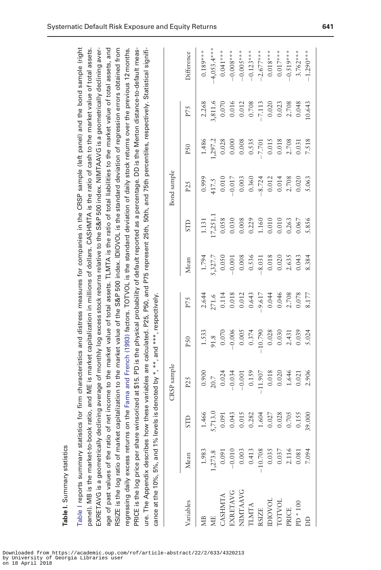<span id="page-8-0"></span>

|                             |                                                                                                                                                                                                                                                                                                                                                                                                                                                                                                 |                                                                                                                                                                                                         |                                                                                                                                                                                                                                                                                                                                                                                                                                                               |             | Difference      | $0.189***$ | $-4,053.4***$ | $0.041***$ | $-0.008***$ | $-0.005***$ | $-0.123***$  | $-2.677***$  | $0.018***$ | $0.017***$    | $-0.519***$ | $3.762***$ | $-1.290***$ |
|-----------------------------|-------------------------------------------------------------------------------------------------------------------------------------------------------------------------------------------------------------------------------------------------------------------------------------------------------------------------------------------------------------------------------------------------------------------------------------------------------------------------------------------------|---------------------------------------------------------------------------------------------------------------------------------------------------------------------------------------------------------|---------------------------------------------------------------------------------------------------------------------------------------------------------------------------------------------------------------------------------------------------------------------------------------------------------------------------------------------------------------------------------------------------------------------------------------------------------------|-------------|-----------------|------------|---------------|------------|-------------|-------------|--------------|--------------|------------|---------------|-------------|------------|-------------|
|                             |                                                                                                                                                                                                                                                                                                                                                                                                                                                                                                 |                                                                                                                                                                                                         |                                                                                                                                                                                                                                                                                                                                                                                                                                                               |             |                 |            |               |            |             |             |              |              |            |               |             |            |             |
|                             |                                                                                                                                                                                                                                                                                                                                                                                                                                                                                                 |                                                                                                                                                                                                         |                                                                                                                                                                                                                                                                                                                                                                                                                                                               |             | P75             | 2.268      | 3,811.6       | 0.070      | 0.016       | 0.012       | 0.708        | $-7.113$     | 0.020      | 0.023         | 2.708       | 0.048      | 10.643      |
|                             |                                                                                                                                                                                                                                                                                                                                                                                                                                                                                                 |                                                                                                                                                                                                         |                                                                                                                                                                                                                                                                                                                                                                                                                                                               |             | P <sub>50</sub> | 1.486      | ,297.2        | 0.028      | 0.000       | 0.008       | 0.535        | $-7.701$     | 0.015      | 0.018         | 2.708       | 0.031      | 7.518       |
|                             |                                                                                                                                                                                                                                                                                                                                                                                                                                                                                                 |                                                                                                                                                                                                         |                                                                                                                                                                                                                                                                                                                                                                                                                                                               | Bond sample | P25             | 0.999      | 417.5         | 0.010      | $-0.017$    | 0.003       | 0.360        | $-8.724$     | 0.012      | 0.014         | 2.708       | 0.020      | 5.063       |
|                             |                                                                                                                                                                                                                                                                                                                                                                                                                                                                                                 |                                                                                                                                                                                                         |                                                                                                                                                                                                                                                                                                                                                                                                                                                               |             | STD             | 1.131      | 17,251.1      | 0.058      | 0.030       | 0.008       | 0.229        | 1.160        | 0.010      | 0.010         | 0.263       | 0.067      | 5.856       |
|                             |                                                                                                                                                                                                                                                                                                                                                                                                                                                                                                 |                                                                                                                                                                                                         |                                                                                                                                                                                                                                                                                                                                                                                                                                                               |             | Mean            | 1.794      | 5,327.7       | 0.050      | 0.001       | 0.008       | 0.536        | .8.031       | 0.018      | 0.020         | 2.635       | 0.043      | 8.384       |
|                             |                                                                                                                                                                                                                                                                                                                                                                                                                                                                                                 |                                                                                                                                                                                                         |                                                                                                                                                                                                                                                                                                                                                                                                                                                               |             | P75             | 2.644      | 271.6         | 0.114      | 0.018       | 0.012       | 0.643        | $-9.617$     | 0.044      | 0.046         | 2.708       | 0.078      | 8.177       |
|                             |                                                                                                                                                                                                                                                                                                                                                                                                                                                                                                 |                                                                                                                                                                                                         |                                                                                                                                                                                                                                                                                                                                                                                                                                                               |             | P <sub>50</sub> | 1.533      | 91.8          | 0.070      | $-0.006$    | 0.005       | 0.374        | 10.790       | 0.028      | 0.030         | 2.431       | 0.039      | 5.024       |
|                             |                                                                                                                                                                                                                                                                                                                                                                                                                                                                                                 | capitalization to the market value of the S&P 500 index. IDIOVOL is the standard deviation of regression errors obtained from                                                                           | on the Fama and French (1993) factors. TOTVOL is the standard deviation of daily stock returns over the previous 12 months.                                                                                                                                                                                                                                                                                                                                   | CRSP sample | P25             | 0.900      | $20.7$        | 0.024      | $-0.034$    | $-0.001$    | 0.159        | $-11.907$    | 0.018      | 0.020         | 1.646       | 0.021      | 2.906       |
|                             |                                                                                                                                                                                                                                                                                                                                                                                                                                                                                                 |                                                                                                                                                                                                         |                                                                                                                                                                                                                                                                                                                                                                                                                                                               |             | <b>STD</b>      | 1.466      | 5,713.0       | 0.091      | 0.043       | 0.015       | 0.282        | 1.604        | 0.027      | 0.028         | 0.705       | 0.155      | 39.000      |
|                             |                                                                                                                                                                                                                                                                                                                                                                                                                                                                                                 |                                                                                                                                                                                                         |                                                                                                                                                                                                                                                                                                                                                                                                                                                               |             | Mean            | 1.983      | 1,273.8       | 0.091      | $-0.010$    | 0.003       | 0.413        | $-10.708$    | 0.035      | 0.037         | 2.116       | 0.081      | 7.094       |
| Table I. Summary statistics | Table I reports summary statistics for firm characteristics and distress measures for companies in the CRSP sample (left panel) and the bond sample (right<br>EXRETAVG is a geometrically declining average of monthly log excess stock returns relative to the S&P 500 index. NIMTAAVG is a geometrically declining aver-<br>panel). MB is the market-to-book ratio, and ME is market capitalization in millions of dollars. CASHMTA is the ratio of cash to the market value of total assets. | age of past values of the ratio of net income to the market value of total assets. TLMTA is the ratio of total liabilities to the market value of total assets, and<br>RSIZE is the log ratio of market | PRICE is the log price per share winsorized at \$15. PD is the physical probability of default reported as a percentage. DD is the Merton distance-to-default meas-<br>ure. The Appendix describes how these variables are calculated. P25, P50, and P75 represent 25th, 50th, and 75th percentiles, respectively. Statistical signifi-<br>cance at the 10%, 5%, and 1% levels is denoted by *, **, and ***, respectively.<br>regressing daily excess returns |             | Variables       |            | МE            | CASHMTA    | EXRETAVG    | NIMTAAVG    | <b>TLMTA</b> | <b>RSIZE</b> | DIOVOL     | <b>TOTVOL</b> | PRICE       | $PD * 100$ | <b>DD</b>   |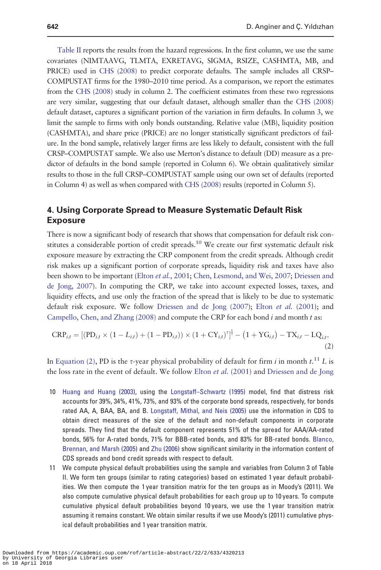<span id="page-9-0"></span>[Table II](#page-10-0) reports the results from the hazard regressions. In the first column, we use the same covariates (NIMTAAVG, TLMTA, EXRETAVG, SIGMA, RSIZE, CASHMTA, MB, and PRICE) used in [CHS \(2008\)](#page-24-0) to predict corporate defaults. The sample includes all CRSP– COMPUSTAT firms for the 1980–2010 time period. As a comparison, we report the estimates from the [CHS \(2008\)](#page-24-0) study in column 2. The coefficient estimates from these two regressions are very similar, suggesting that our default dataset, although smaller than the [CHS \(2008\)](#page-24-0) default dataset, captures a significant portion of the variation in firm defaults. In column 3, we limit the sample to firms with only bonds outstanding. Relative value (MB), liquidity position (CASHMTA), and share price (PRICE) are no longer statistically significant predictors of failure. In the bond sample, relatively larger firms are less likely to default, consistent with the full CRSP–COMPUSTAT sample. We also use Merton's distance to default (DD) measure as a predictor of defaults in the bond sample (reported in Column 6). We obtain qualitatively similar results to those in the full CRSP–COMPUSTAT sample using our own set of defaults (reported in Column 4) as well as when compared with [CHS \(2008\)](#page-24-0) results (reported in Column 5).

# 4. Using Corporate Spread to Measure Systematic Default Risk Exposure

There is now a significant body of research that shows that compensation for default risk constitutes a considerable portion of credit spreads.<sup>10</sup> We create our first systematic default risk exposure measure by extracting the CRP component from the credit spreads. Although credit risk makes up a significant portion of corporate spreads, liquidity risk and taxes have also been shown to be important (Elton *et al.*[, 2001](#page-25-0); [Chen, Lesmond, and Wei, 2007](#page-24-0); [Driessen and](#page-25-0) [de Jong, 2007](#page-25-0)). In computing the CRP, we take into account expected losses, taxes, and liquidity effects, and use only the fraction of the spread that is likely to be due to systematic default risk exposure. We follow [Driessen and de Jong \(2007](#page-25-0)); Elton et al. [\(2001](#page-25-0)); and [Campello, Chen, and Zhang \(2008\)](#page-24-0) and compute the CRP for each bond  $i$  and month  $t$  as:

$$
CRP_{i,t} = [(PD_{i,t} \times (1 - L_{i,t}) + (1 - PD_{i,t})) \times (1 + CY_{i,t})^{\tau}]^{\frac{1}{\tau}} - (1 + YG_{i,t}) - TX_{i,t} - LQ_{i,t},
$$
\n(2)

In Equation (2), PD is the  $\tau$ -year physical probability of default for firm i in month  $t.^{11}$  L is the loss rate in the event of default. We follow Elton *et al.* [\(2001\)](#page-25-0) and [Driessen and de Jong](#page-25-0)

- 10 [Huang and Huang \(2003\)](#page-25-0), using the [Longstaff–Schwartz \(1995\)](#page-25-0) model, find that distress risk accounts for 39%, 34%, 41%, 73%, and 93% of the corporate bond spreads, respectively, for bonds rated AA, A, BAA, BA, and B. [Longstaff, Mithal, and Neis \(2005\)](#page-25-0) use the information in CDS to obtain direct measures of the size of the default and non-default components in corporate spreads. They find that the default component represents 51% of the spread for AAA/AA-rated bonds, 56% for A-rated bonds, 71% for BBB-rated bonds, and 83% for BB-rated bonds. [Blanco,](#page-24-0) [Brennan, and Marsh \(2005\)](#page-24-0) and [Zhu \(2006\)](#page-26-0) show significant similarity in the information content of CDS spreads and bond credit spreads with respect to default.
- 11 We compute physical default probabilities using the sample and variables from Column 3 of Table II. We form ten groups (similar to rating categories) based on estimated 1 year default probabilities. We then compute the 1 year transition matrix for the ten groups as in Moody's (2011). We also compute cumulative physical default probabilities for each group up to 10 years. To compute cumulative physical default probabilities beyond 10 years, we use the 1 year transition matrix assuming it remains constant. We obtain similar results if we use Moody's (2011) cumulative physical default probabilities and 1 year transition matrix.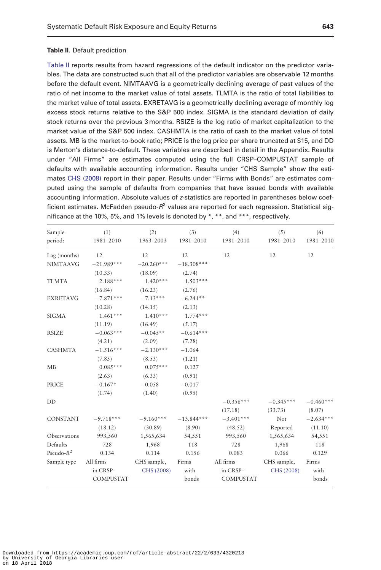#### <span id="page-10-0"></span>Table II. Default prediction

Table II reports results from hazard regressions of the default indicator on the predictor variables. The data are constructed such that all of the predictor variables are observable 12 months before the default event. NIMTAAVG is a geometrically declining average of past values of the ratio of net income to the market value of total assets. TLMTA is the ratio of total liabilities to the market value of total assets. EXRETAVG is a geometrically declining average of monthly log excess stock returns relative to the S&P 500 index. SIGMA is the standard deviation of daily stock returns over the previous 3 months. RSIZE is the log ratio of market capitalization to the market value of the S&P 500 index. CASHMTA is the ratio of cash to the market value of total assets. MB is the market-to-book ratio; PRICE is the log price per share truncated at \$15, and DD is Merton's distance-to-default. These variables are described in detail in the Appendix. Results under "All Firms" are estimates computed using the full CRSP–COMPUSTAT sample of defaults with available accounting information. Results under "CHS Sample" show the estimates [CHS \(2008\)](#page-24-0) report in their paper. Results under "Firms with Bonds" are estimates computed using the sample of defaults from companies that have issued bonds with available accounting information. Absolute values of z-statistics are reported in parentheses below coefficient estimates. McFadden pseudo- $R^2$  values are reported for each regression. Statistical significance at the 10%, 5%, and 1% levels is denoted by  $*, **$ , and  $***$ , respectively.

| Sample<br>period: | (1)<br>1981-2010 | (2)<br>1963-2003 | (3)<br>1981-2010 | (4)<br>1981-2010 | (5)<br>1981-2010 | (6)<br>1981-2010 |
|-------------------|------------------|------------------|------------------|------------------|------------------|------------------|
| Lag (months)      | 12               | 12               | 12               | 12               | 12               | 12               |
| <b>NIMTAAVG</b>   | $-21.989***$     | $-20.260***$     | $-18.308***$     |                  |                  |                  |
|                   | (10.33)          | (18.09)          | (2.74)           |                  |                  |                  |
| <b>TLMTA</b>      | $2.188***$       | $1.420***$       | $1.503***$       |                  |                  |                  |
|                   | (16.84)          | (16.23)          | (2.76)           |                  |                  |                  |
| <b>EXRETAVG</b>   | $-7.871***$      | $-7.13***$       | $-6.241**$       |                  |                  |                  |
|                   | (10.28)          | (14.15)          | (2.13)           |                  |                  |                  |
| <b>SIGMA</b>      | $1.461***$       | $1.410***$       | $1.774***$       |                  |                  |                  |
|                   | (11.19)          | (16.49)          | (5.17)           |                  |                  |                  |
| <b>RSIZE</b>      | $-0.063***$      | $-0.045**$       | $-0.614***$      |                  |                  |                  |
|                   | (4.21)           | (2.09)           | (7.28)           |                  |                  |                  |
| <b>CASHMTA</b>    | $-1.516***$      | $-2.130***$      | $-1.064$         |                  |                  |                  |
|                   | (7.85)           | (8.53)           | (1.21)           |                  |                  |                  |
| MB                | $0.085***$       | $0.075***$       | 0.127            |                  |                  |                  |
|                   | (2.63)           | (6.33)           | (0.91)           |                  |                  |                  |
| PRICE             | $-0.167*$        | $-0.058$         | $-0.017$         |                  |                  |                  |
|                   | (1.74)           | (1.40)           | (0.95)           |                  |                  |                  |
| DD                |                  |                  |                  | $-0.356***$      | $-0.345***$      | $-0.460***$      |
|                   |                  |                  |                  | (17.18)          | (33.73)          | (8.07)           |
| <b>CONSTANT</b>   | $-9.718***$      | $-9.160***$      | $-13.844***$     | $-3.401***$      | Not              | $-2.634***$      |
|                   | (18.12)          | (30.89)          | (8.90)           | (48.52)          | Reported         | (11.10)          |
| Observations      | 993,560          | 1,565,634        | 54,551           | 993,560          | 1,565,634        | 54,551           |
| Defaults          | 728              | 1,968            | 118              | 728              | 1,968            | 118              |
| Pseudo- $R^2$     | 0.134            | 0.114            | 0.156            | 0.083            | 0.066            | 0.129            |
| Sample type       | All firms        | CHS sample,      | Firms            | All firms        | CHS sample,      | Firms            |
|                   | in CRSP-         | CHS (2008)       | with             | in CRSP-         | CHS (2008)       | with             |
|                   | <b>COMPUSTAT</b> |                  | bonds            | <b>COMPUSTAT</b> |                  | bonds            |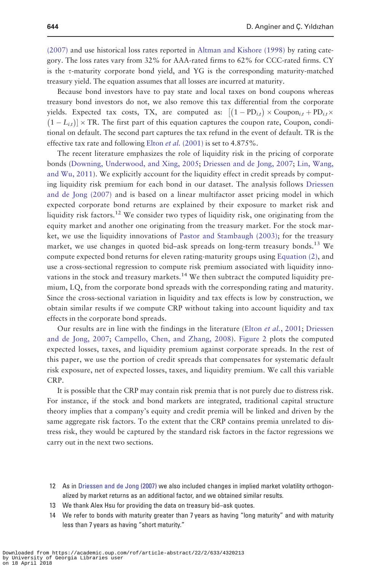[\(2007\)](#page-25-0) and use historical loss rates reported in [Altman and Kishore \(1998\)](#page-24-0) by rating category. The loss rates vary from 32% for AAA-rated firms to 62% for CCC-rated firms. CY is the  $\tau$ -maturity corporate bond yield, and YG is the corresponding maturity-matched treasury yield. The equation assumes that all losses are incurred at maturity.

Because bond investors have to pay state and local taxes on bond coupons whereas treasury bond investors do not, we also remove this tax differential from the corporate yields. Expected tax costs, TX, are computed as:  $[(1 - PD_{i,t}) \times \text{Coupon}_{i,t} + PD_{i,t} \times$  $(1 - L_{i,t})$   $\times$  TR. The first part of this equation captures the coupon rate, Coupon, conditional on default. The second part captures the tax refund in the event of default. TR is the effective tax rate and following Elton *et al.* [\(2001\)](#page-25-0) is set to  $4.875\%$ .

The recent literature emphasizes the role of liquidity risk in the pricing of corporate bonds ([Downing, Underwood, and Xing, 2005](#page-25-0); [Driessen and de Jong, 2007](#page-25-0); [Lin, Wang,](#page-25-0) [and Wu, 2011\)](#page-25-0). We explicitly account for the liquidity effect in credit spreads by computing liquidity risk premium for each bond in our dataset. The analysis follows [Driessen](#page-25-0) [and de Jong \(2007\)](#page-25-0) and is based on a linear multifactor asset pricing model in which expected corporate bond returns are explained by their exposure to market risk and liquidity risk factors.<sup>12</sup> We consider two types of liquidity risk, one originating from the equity market and another one originating from the treasury market. For the stock market, we use the liquidity innovations of [Pastor and Stambaugh \(2003\);](#page-26-0) for the treasury market, we use changes in quoted bid-ask spreads on long-term treasury bonds.<sup>13</sup> We compute expected bond returns for eleven rating-maturity groups using [Equation \(2\)](#page-9-0), and use a cross-sectional regression to compute risk premium associated with liquidity innovations in the stock and treasury markets.<sup>14</sup> We then subtract the computed liquidity premium, LQ, from the corporate bond spreads with the corresponding rating and maturity. Since the cross-sectional variation in liquidity and tax effects is low by construction, we obtain similar results if we compute CRP without taking into account liquidity and tax effects in the corporate bond spreads.

Our results are in line with the findings in the literature (Elton et al.[, 2001](#page-25-0); [Driessen](#page-25-0) [and de Jong, 2007](#page-25-0); [Campello, Chen, and Zhang, 2008\)](#page-24-0). [Figure 2](#page-12-0) plots the computed expected losses, taxes, and liquidity premium against corporate spreads. In the rest of this paper, we use the portion of credit spreads that compensates for systematic default risk exposure, net of expected losses, taxes, and liquidity premium. We call this variable CRP.

It is possible that the CRP may contain risk premia that is not purely due to distress risk. For instance, if the stock and bond markets are integrated, traditional capital structure theory implies that a company's equity and credit premia will be linked and driven by the same aggregate risk factors. To the extent that the CRP contains premia unrelated to distress risk, they would be captured by the standard risk factors in the factor regressions we carry out in the next two sections.

- 12 As in [Driessen and de Jong \(2007\)](#page-25-0) we also included changes in implied market volatility orthogonalized by market returns as an additional factor, and we obtained similar results.
- 13 We thank Alex Hsu for providing the data on treasury bid–ask quotes.
- 14 We refer to bonds with maturity greater than 7 years as having "long maturity" and with maturity less than 7 years as having "short maturity."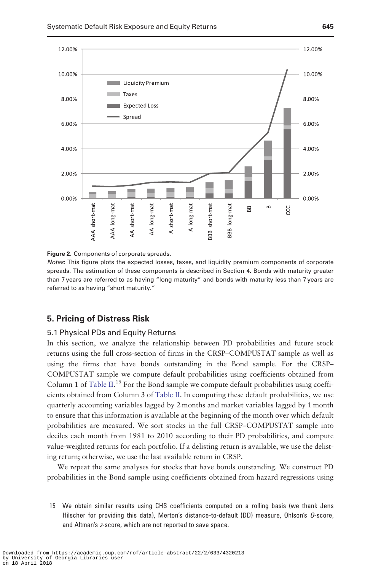<span id="page-12-0"></span>



Notes: This figure plots the expected losses, taxes, and liquidity premium components of corporate spreads. The estimation of these components is described in Section 4. Bonds with maturity greater than 7 years are referred to as having "long maturity" and bonds with maturity less than 7 years are referred to as having "short maturity."

# 5. Pricing of Distress Risk

# 5.1 Physical PDs and Equity Returns

In this section, we analyze the relationship between PD probabilities and future stock returns using the full cross-section of firms in the CRSP–COMPUSTAT sample as well as using the firms that have bonds outstanding in the Bond sample. For the CRSP– COMPUSTAT sample we compute default probabilities using coefficients obtained from Column 1 of [Table II.](#page-10-0)<sup>15</sup> For the Bond sample we compute default probabilities using coefficients obtained from Column 3 of [Table II](#page-10-0). In computing these default probabilities, we use quarterly accounting variables lagged by 2 months and market variables lagged by 1 month to ensure that this information is available at the beginning of the month over which default probabilities are measured. We sort stocks in the full CRSP–COMPUSTAT sample into deciles each month from 1981 to 2010 according to their PD probabilities, and compute value-weighted returns for each portfolio. If a delisting return is available, we use the delisting return; otherwise, we use the last available return in CRSP.

We repeat the same analyses for stocks that have bonds outstanding. We construct PD probabilities in the Bond sample using coefficients obtained from hazard regressions using

15 We obtain similar results using CHS coefficients computed on a rolling basis (we thank Jens Hilscher for providing this data), Merton's distance-to-default (DD) measure, Ohlson's O-score, and Altman's z-score, which are not reported to save space.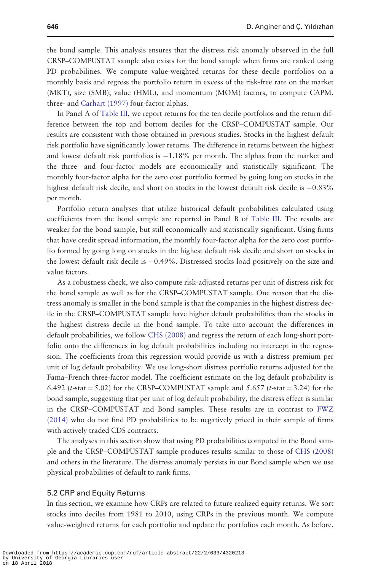the bond sample. This analysis ensures that the distress risk anomaly observed in the full CRSP–COMPUSTAT sample also exists for the bond sample when firms are ranked using PD probabilities. We compute value-weighted returns for these decile portfolios on a monthly basis and regress the portfolio return in excess of the risk-free rate on the market (MKT), size (SMB), value (HML), and momentum (MOM) factors, to compute CAPM, three- and [Carhart \(1997\)](#page-24-0) four-factor alphas.

In Panel A of [Table III](#page-14-0), we report returns for the ten decile portfolios and the return difference between the top and bottom deciles for the CRSP–COMPUSTAT sample. Our results are consistent with those obtained in previous studies. Stocks in the highest default risk portfolio have significantly lower returns. The difference in returns between the highest and lowest default risk portfolios is -1.18% per month. The alphas from the market and the three- and four-factor models are economically and statistically significant. The monthly four-factor alpha for the zero cost portfolio formed by going long on stocks in the highest default risk decile, and short on stocks in the lowest default risk decile is -0.83% per month.

Portfolio return analyses that utilize historical default probabilities calculated using coefficients from the bond sample are reported in Panel B of [Table III](#page-14-0). The results are weaker for the bond sample, but still economically and statistically significant. Using firms that have credit spread information, the monthly four-factor alpha for the zero cost portfolio formed by going long on stocks in the highest default risk decile and short on stocks in the lowest default risk decile is -0.49%. Distressed stocks load positively on the size and value factors.

As a robustness check, we also compute risk-adjusted returns per unit of distress risk for the bond sample as well as for the CRSP–COMPUSTAT sample. One reason that the distress anomaly is smaller in the bond sample is that the companies in the highest distress decile in the CRSP–COMPUSTAT sample have higher default probabilities than the stocks in the highest distress decile in the bond sample. To take into account the differences in default probabilities, we follow [CHS \(2008\)](#page-24-0) and regress the return of each long-short portfolio onto the differences in log default probabilities including no intercept in the regression. The coefficients from this regression would provide us with a distress premium per unit of log default probability. We use long-short distress portfolio returns adjusted for the Fama–French three-factor model. The coefficient estimate on the log default probability is 6.492 (t-stat = 5.02) for the CRSP–COMPUSTAT sample and 5.657 (t-stat = 3.24) for the bond sample, suggesting that per unit of log default probability, the distress effect is similar in the CRSP–COMPUSTAT and Bond samples. These results are in contrast to [FWZ](#page-25-0) [\(2014\)](#page-25-0) who do not find PD probabilities to be negatively priced in their sample of firms with actively traded CDS contracts.

The analyses in this section show that using PD probabilities computed in the Bond sample and the CRSP–COMPUSTAT sample produces results similar to those of [CHS \(2008\)](#page-24-0) and others in the literature. The distress anomaly persists in our Bond sample when we use physical probabilities of default to rank firms.

#### 5.2 CRP and Equity Returns

In this section, we examine how CRPs are related to future realized equity returns. We sort stocks into deciles from 1981 to 2010, using CRPs in the previous month. We compute value-weighted returns for each portfolio and update the portfolios each month. As before,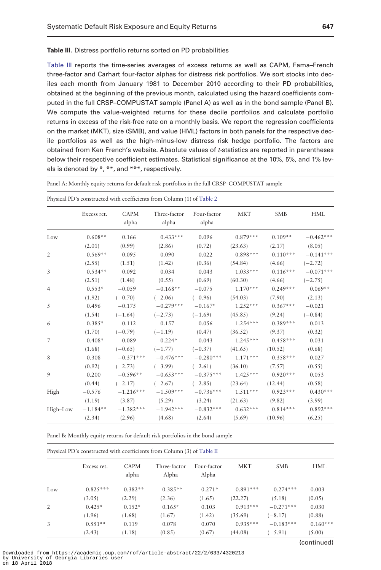<span id="page-14-0"></span>Table III. Distress portfolio returns sorted on PD probabilities

Table III reports the time-series averages of excess returns as well as CAPM, Fama–French three-factor and Carhart four-factor alphas for distress risk portfolios. We sort stocks into deciles each month from January 1981 to December 2010 according to their PD probabilities, obtained at the beginning of the previous month, calculated using the hazard coefficients computed in the full CRSP–COMPUSTAT sample (Panel A) as well as in the bond sample (Panel B). We compute the value-weighted returns for these decile portfolios and calculate portfolio returns in excess of the risk-free rate on a monthly basis. We report the regression coefficients on the market (MKT), size (SMB), and value (HML) factors in both panels for the respective decile portfolios as well as the high-minus-low distress risk hedge portfolio. The factors are obtained from Ken French's website. Absolute values of t-statistics are reported in parentheses below their respective coefficient estimates. Statistical significance at the 10%, 5%, and 1% levels is denoted by \*, \*\*, and \*\*\*, respectively.

Panel A: Monthly equity returns for default risk portfolios in the full CRSP–COMPUSTAT sample

|      | Excess ret.         | CAPM<br>alpha | Three-factor<br>alpha                                      | Four-factor<br>alpha    | <b>MKT</b>                        | <b>SMB</b>        | HML                    |
|------|---------------------|---------------|------------------------------------------------------------|-------------------------|-----------------------------------|-------------------|------------------------|
| Low  | $0.608**$           | 0.166         | $0.433***$                                                 | 0.096                   | $0.879***$                        | $0.109**$         | $-0.462***$            |
|      | (2.01)              | (0.99)        | (2.86)                                                     | (0.72)                  | (23.63)                           | $(2.17)$ $(8.05)$ |                        |
| 2    | $0.569**$           | 0.095         | 0.090                                                      | 0.022                   | $0.898***$                        |                   | $0.110***$ $-0.141***$ |
|      | (2.55)              | (1.51)        | (1.42)                                                     | (0.36)                  | (54.84)                           | (4.66)            | $(-2.72)$              |
| 3    | $0.534**$ 0.092     |               | 0.034                                                      |                         | $0.043$ $1.033***$                |                   | $0.116***$ $-0.071***$ |
|      | $(2.51)$ $(1.48)$   |               | $(0.55)$ $(0.69)$                                          |                         | (60.30)                           | (4.66)            | $(-2.75)$              |
| 4    | $0.553*$            | $-0.059$      | $-0.168**$                                                 |                         | $-0.075$ 1.170***                 |                   | $0.249***$ $0.069**$   |
|      | (1.92)              | $(-0.70)$     | $(-2.06)$                                                  | $(-0.96)$               | (54.03)                           | (7.90)            | (2.13)                 |
| 5    | 0.496               | $-0.175$      | $-0.279***$                                                |                         | $-0.167*$ 1.252***                | $0.367***$        | $-0.021$               |
|      | (1.54)              | $(-1.64)$     | $(-2.73)$                                                  |                         | $(-1.69)$ $(45.85)$               | (9.24)            | $(-0.84)$              |
| 6    | $0.385*$            | $-0.112$      |                                                            | $-0.157$ 0.056 1.254*** |                                   | $0.389***$        | 0.013                  |
|      | (1.70)              |               | $(-0.79)$ $(-1.19)$ $(0.47)$ $(36.52)$                     |                         |                                   | (9.37)            | (0.32)                 |
| 7    | $0.408*$            |               | $-0.089$ $-0.224*$                                         |                         | $-0.043$ $1.245***$ $0.458***$    |                   | 0.031                  |
|      |                     |               | $(1.68)$ $(-0.65)$ $(-1.77)$ $(-0.37)$ $(41.65)$ $(10.52)$ |                         |                                   |                   | (0.68)                 |
| 8    | 0.308               |               | $-0.371***$ $-0.476***$ $-0.280***$ $1.171***$ $0.358***$  |                         |                                   |                   | 0.027                  |
|      | (0.92)              | $(-2.73)$     | $(-3.99)$                                                  |                         | $(-2.61)$ $(36.10)$               | (7.57)            | (0.55)                 |
| 9    | 0.200               |               | $-0.596***$ $-0.653***$ $-0.375***$ $1.425***$ $0.920***$  |                         |                                   |                   | 0.053                  |
|      | (0.44)              | $(-2.17)$     | $(-2.67)$                                                  |                         | $(-2.85)$ $(23.64)$ $(12.44)$     |                   | (0.58)                 |
| High | $-0.576$            |               | $-1.216***$ $-1.509***$ $-0.736***$ $1.511***$ $0.923***$  |                         |                                   |                   | $0.430***$             |
|      | (1.19)              |               | $(3.87)$ $(5.29)$ $(3.24)$ $(21.63)$                       |                         |                                   | (9.82)            | (3.99)                 |
|      | High-Low $-1.184**$ | $-1.382***$   | $-1.942***$                                                |                         | $-0.832***$ $0.632***$ $0.814***$ |                   | $0.892***$             |
|      |                     |               | $(2.34)$ $(2.96)$ $(4.68)$ $(2.64)$ $(5.69)$ $(10.96)$     |                         |                                   |                   | (6.25)                 |

Physical PD's constructed with coefficients from Column (1) of [Table 2](#page-10-0)

Panel B: Monthly equity returns for default risk portfolios in the bond sample

|     | Physical PD's constructed with coefficients from Column (3) of Table II |               |                       |                      |            |             |            |  |
|-----|-------------------------------------------------------------------------|---------------|-----------------------|----------------------|------------|-------------|------------|--|
|     | Excess ret.                                                             | CAPM<br>alpha | Three-factor<br>Alpha | Four-factor<br>Alpha | <b>MKT</b> | <b>SMB</b>  | HML        |  |
| Low | $0.825***$                                                              | $0.382**$     | $0.385**$             | $0.271*$             | $0.891***$ | $-0.274***$ | 0.003      |  |
|     | (3.05)                                                                  | (2.29)        | (2.36)                | (1.65)               | (22.27)    | (5.18)      | (0.05)     |  |
| 2   | $0.425*$                                                                | $0.152*$      | $0.165*$              | 0.103                | $0.913***$ | $-0.271***$ | 0.030      |  |
|     | (1.96)                                                                  | (1.68)        | (1.67)                | (1.42)               | (35.69)    | $(-8.17)$   | (0.88)     |  |
| 3   | $0.551**$                                                               | 0.119         | 0.078                 | 0.070                | $0.935***$ | $-0.183***$ | $0.160***$ |  |
|     | (2.43)                                                                  | (1.18)        | (0.85)                | (0.67)               | (44.08)    | $(-5.91)$   | (5.00)     |  |

(continued)

Downloaded from https://academic.oup.com/rof/article-abstract/22/2/633/4320213 by University of Georgia Libraries user on 18 April 2018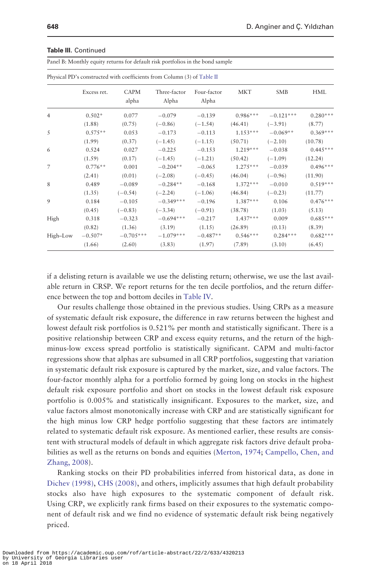|                | Physical PD's constructed with coefficients from Column (3) of Table II |                      |                       |                      |            |             |            |  |
|----------------|-------------------------------------------------------------------------|----------------------|-----------------------|----------------------|------------|-------------|------------|--|
|                | Excess ret.                                                             | <b>CAPM</b><br>alpha | Three-factor<br>Alpha | Four-factor<br>Alpha | <b>MKT</b> | <b>SMB</b>  | <b>HML</b> |  |
| $\overline{4}$ | $0.502*$                                                                | 0.077                | $-0.079$              | $-0.139$             | $0.986***$ | $-0.121***$ | $0.280***$ |  |
|                | (1.88)                                                                  | (0.75)               | $(-0.86)$             | $(-1.54)$            | (46.41)    | $(-3.91)$   | (8.77)     |  |
| 5              | $0.575**$                                                               | 0.053                | $-0.173$              | $-0.113$             | $1.153***$ | $-0.069**$  | $0.369***$ |  |
|                | (1.99)                                                                  | (0.37)               | $(-1.45)$             | $(-1.15)$            | (50.71)    | $(-2.10)$   | (10.78)    |  |
| 6              | 0.524                                                                   | 0.027                | $-0.225$              | $-0.153$             | $1.219***$ | $-0.038$    | $0.445***$ |  |
|                | (1.59)                                                                  | (0.17)               | $(-1.45)$             | $(-1.21)$            | (50.42)    | $(-1.09)$   | (12.24)    |  |
| 7              | $0.776**$                                                               | 0.001                | $-0.204**$            | $-0.065$             | $1.275***$ | $-0.039$    | $0.496***$ |  |
|                | (2.41)                                                                  | (0.01)               | $(-2.08)$             | $(-0.45)$            | (46.04)    | $(-0.96)$   | (11.90)    |  |
| 8              | 0.489                                                                   | $-0.089$             | $-0.284**$            | $-0.168$             | $1.372***$ | $-0.010$    | $0.519***$ |  |
|                | (1.35)                                                                  | $(-0.54)$            | $(-2.24)$             | $(-1.06)$            | (46.84)    | $(-0.23)$   | (11.77)    |  |
| 9              | 0.184                                                                   | $-0.105$             | $-0.349***$           | $-0.196$             | $1.387***$ | 0.106       | $0.476***$ |  |
|                | (0.45)                                                                  | $(-0.83)$            | $(-3.34)$             | $(-0.91)$            | (38.78)    | (1.03)      | (5.13)     |  |
| High           | 0.318                                                                   | $-0.323$             | $-0.694***$           | $-0.217$             | $1.437***$ | 0.009       | $0.685***$ |  |
|                | (0.82)                                                                  | (1.36)               | (3.19)                | (1.15)               | (26.89)    | (0.13)      | (8.39)     |  |
| High-Low       | $-0.507*$                                                               | $-0.705***$          | $-1.079***$           | $-0.487**$           | $0.546***$ | $0.284***$  | $0.682***$ |  |
|                | (1.66)                                                                  | (2.60)               | (3.83)                | (1.97)               | (7.89)     | (3.10)      | (6.45)     |  |

#### Table III. Continued

Panel B: Monthly equity returns for default risk portfolios in the bond sample

if a delisting return is available we use the delisting return; otherwise, we use the last available return in CRSP. We report returns for the ten decile portfolios, and the return difference between the top and bottom deciles in [Table IV](#page-16-0).

Our results challenge those obtained in the previous studies. Using CRPs as a measure of systematic default risk exposure, the difference in raw returns between the highest and lowest default risk portfolios is 0.521% per month and statistically significant. There is a positive relationship between CRP and excess equity returns, and the return of the highminus-low excess spread portfolio is statistically significant. CAPM and multi-factor regressions show that alphas are subsumed in all CRP portfolios, suggesting that variation in systematic default risk exposure is captured by the market, size, and value factors. The four-factor monthly alpha for a portfolio formed by going long on stocks in the highest default risk exposure portfolio and short on stocks in the lowest default risk exposure portfolio is 0.005% and statistically insignificant. Exposures to the market, size, and value factors almost monotonically increase with CRP and are statistically significant for the high minus low CRP hedge portfolio suggesting that these factors are intimately related to systematic default risk exposure. As mentioned earlier, these results are consistent with structural models of default in which aggregate risk factors drive default probabilities as well as the returns on bonds and equities ([Merton, 1974](#page-25-0); [Campello, Chen, and](#page-24-0) [Zhang, 2008\)](#page-24-0).

Ranking stocks on their PD probabilities inferred from historical data, as done in [Dichev \(1998\),](#page-24-0) [CHS \(2008\)](#page-24-0), and others, implicitly assumes that high default probability stocks also have high exposures to the systematic component of default risk. Using CRP, we explicitly rank firms based on their exposures to the systematic component of default risk and we find no evidence of systematic default risk being negatively priced.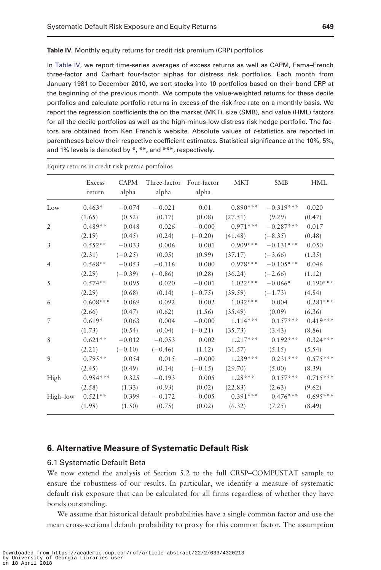<span id="page-16-0"></span>Table IV. Monthly equity returns for credit risk premium (CRP) portfolios

In Table IV, we report time-series averages of excess returns as well as CAPM, Fama–French three-factor and Carhart four-factor alphas for distress risk portfolios. Each month from January 1981 to December 2010, we sort stocks into 10 portfolios based on their bond CRP at the beginning of the previous month. We compute the value-weighted returns for these decile portfolios and calculate portfolio returns in excess of the risk-free rate on a monthly basis. We report the regression coefficients the on the market (MKT), size (SMB), and value (HML) factors for all the decile portfolios as well as the high-minus-low distress risk hedge portfolio. The factors are obtained from Ken French's website. Absolute values of t-statistics are reported in parentheses below their respective coefficient estimates. Statistical significance at the 10%, 5%, and 1% levels is denoted by \*, \*\*, and \*\*\*, respectively.

|                | Excess<br>return | <b>CAPM</b><br>alpha | alpha     | Three-factor Four-factor<br>alpha | <b>MKT</b> | <b>SMB</b>             | <b>HML</b> |
|----------------|------------------|----------------------|-----------|-----------------------------------|------------|------------------------|------------|
| Low            | $0.463*$         | $-0.074$             | $-0.021$  | 0.01                              | $0.890***$ | $-0.319***$            | 0.020      |
|                | (1.65)           | (0.52)               | (0.17)    | (0.08)                            | (27.51)    | (9.29)                 | (0.47)     |
| 2              | $0.489**$        | 0.048                | 0.026     | $-0.000$                          |            | $0.971***$ $-0.287***$ | 0.017      |
|                | (2.19)           | (0.45)               | (0.24)    | $(-0.20)$                         | (41.48)    | $(-8.35)$              | (0.48)     |
| 3              | $0.552**$        | $-0.033$             | 0.006     | 0.001                             |            | $0.909***$ $-0.131***$ | 0.050      |
|                | (2.31)           | $(-0.25)$            | (0.05)    | (0.99)                            | (37.17)    | $(-3.66)$              | (1.35)     |
| 4              | $0.568**$        | $-0.053$             | $-0.116$  | 0.000                             |            | $0.978***$ $-0.105***$ | 0.046      |
|                | (2.29)           | $(-0.39)$            | $(-0.86)$ | (0.28)                            | (36.24)    | $(-2.66)$              | (1.12)     |
| 5              | $0.574**$        | 0.095                | 0.020     | $-0.001$                          |            | $1.022***$ $-0.066*$   | $0.190***$ |
|                | (2.29)           | (0.68)               | (0.14)    | $(-0.75)$                         | (39.59)    | $(-1.73)$              | (4.84)     |
| 6              | $0.608***$       | 0.069                | 0.092     | 0.002                             | $1.032***$ | 0.004                  | $0.281***$ |
|                | (2.66)           | (0.47)               | (0.62)    | (1.56)                            | (35.49)    | (0.09)                 | (6.36)     |
| $\overline{7}$ | $0.619*$         | 0.063                | 0.004     | $-0.000$                          | $1.114***$ | $0.157***$             | $0.419***$ |
|                | (1.73)           | (0.54)               | (0.04)    | $(-0.21)$                         | (35.73)    | (3.43)                 | (8.86)     |
| 8              | $0.621**$        | $-0.012$             | $-0.053$  | 0.002                             | $1.217***$ | $0.192***$             | $0.324***$ |
|                | (2.21)           | $(-0.10)$            | $(-0.46)$ | (1.12)                            | (31.57)    | (5.15)                 | (5.54)     |
| 9              | $0.795**$        | 0.054                | 0.015     | $-0.000$                          | $1.239***$ | $0.231***$             | $0.575***$ |
|                | (2.45)           | (0.49)               | (0.14)    | $(-0.15)$                         | (29.70)    | (5.00)                 | (8.39)     |
| High           | $0.984***$       | 0.325                | $-0.193$  | 0.005                             | $1.28***$  | $0.157***$             | $0.715***$ |
|                | (2.58)           | (1.33)               | (0.93)    | (0.02)                            | (22.83)    | (2.63)                 | (9.62)     |
| High-low       | $0.521**$        | 0.399                | $-0.172$  | $-0.005$                          | $0.391***$ | $0.476***$             | $0.695***$ |
|                | (1.98)           | (1.50)               | (0.75)    | (0.02)                            | (6.32)     | (7.25)                 | (8.49)     |

Equity returns in credit risk premia portfolios

# 6. Alternative Measure of Systematic Default Risk

#### 6.1 Systematic Default Beta

We now extend the analysis of Section 5.2 to the full CRSP–COMPUSTAT sample to ensure the robustness of our results. In particular, we identify a measure of systematic default risk exposure that can be calculated for all firms regardless of whether they have bonds outstanding.

We assume that historical default probabilities have a single common factor and use the mean cross-sectional default probability to proxy for this common factor. The assumption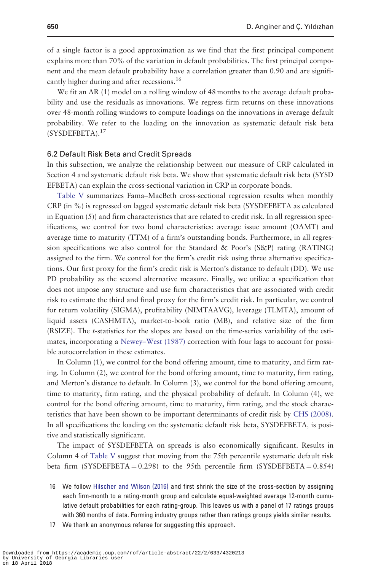of a single factor is a good approximation as we find that the first principal component explains more than 70% of the variation in default probabilities. The first principal component and the mean default probability have a correlation greater than 0.90 and are significantly higher during and after recessions.<sup>16</sup>

We fit an AR (1) model on a rolling window of 48 months to the average default probability and use the residuals as innovations. We regress firm returns on these innovations over 48-month rolling windows to compute loadings on the innovations in average default probability. We refer to the loading on the innovation as systematic default risk beta (SYSDEFBETA).17

#### 6.2 Default Risk Beta and Credit Spreads

In this subsection, we analyze the relationship between our measure of CRP calculated in Section 4 and systematic default risk beta. We show that systematic default risk beta (SYSD EFBETA) can explain the cross-sectional variation in CRP in corporate bonds.

[Table V](#page-18-0) summarizes Fama–MacBeth cross-sectional regression results when monthly CRP (in %) is regressed on lagged systematic default risk beta (SYSDEFBETA as calculated in Equation  $(5)$ ) and firm characteristics that are related to credit risk. In all regression specifications, we control for two bond characteristics: average issue amount (OAMT) and average time to maturity (TTM) of a firm's outstanding bonds. Furthermore, in all regression specifications we also control for the Standard & Poor's (S&P) rating (RATING) assigned to the firm. We control for the firm's credit risk using three alternative specifications. Our first proxy for the firm's credit risk is Merton's distance to default (DD). We use PD probability as the second alternative measure. Finally, we utilize a specification that does not impose any structure and use firm characteristics that are associated with credit risk to estimate the third and final proxy for the firm's credit risk. In particular, we control for return volatility (SIGMA), profitability (NIMTAAVG), leverage (TLMTA), amount of liquid assets (CASHMTA), market-to-book ratio (MB), and relative size of the firm (RSIZE). The t-statistics for the slopes are based on the time-series variability of the estimates, incorporating a [Newey–West \(1987\)](#page-26-0) correction with four lags to account for possible autocorrelation in these estimates.

In Column (1), we control for the bond offering amount, time to maturity, and firm rating. In Column (2), we control for the bond offering amount, time to maturity, firm rating, and Merton's distance to default. In Column (3), we control for the bond offering amount, time to maturity, firm rating, and the physical probability of default. In Column (4), we control for the bond offering amount, time to maturity, firm rating, and the stock characteristics that have been shown to be important determinants of credit risk by [CHS \(2008\)](#page-24-0). In all specifications the loading on the systematic default risk beta, SYSDEFBETA; is positive and statistically significant.

The impact of SYSDEFBETA on spreads is also economically significant. Results in Column 4 of [Table V](#page-18-0) suggest that moving from the 75th percentile systematic default risk beta firm (SYSDEFBETA = 0.298) to the 95th percentile firm (SYSDEFBETA =  $0.854$ )

- 16 We follow [Hilscher and Wilson \(2016\)](#page-25-0) and first shrink the size of the cross-section by assigning each firm-month to a rating-month group and calculate equal-weighted average 12-month cumulative default probabilities for each rating-group. This leaves us with a panel of 17 ratings groups with 360 months of data. Forming industry groups rather than ratings groups yields similar results.
- 17 We thank an anonymous referee for suggesting this approach.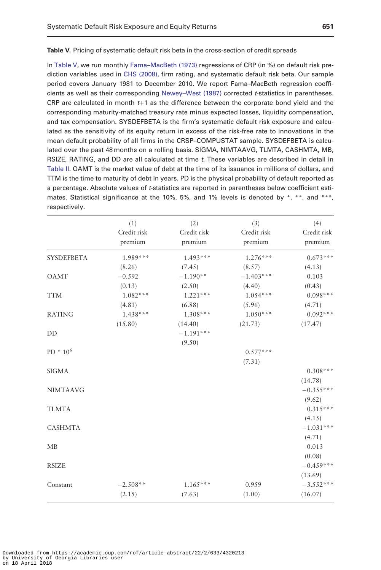#### <span id="page-18-0"></span>Table V. Pricing of systematic default risk beta in the cross-section of credit spreads

In Table V, we run monthly [Fama–MacBeth \(1973\)](#page-25-0) regressions of CRP (in %) on default risk prediction variables used in [CHS \(2008\),](#page-24-0) firm rating, and systematic default risk beta. Our sample period covers January 1981 to December 2010. We report Fama–MacBeth regression coeffi-cients as well as their corresponding [Newey–West \(1987\)](#page-26-0) corrected t-statistics in parentheses. CRP are calculated in month  $t+1$  as the difference between the corporate bond yield and the corresponding maturity-matched treasury rate minus expected losses, liquidity compensation, and tax compensation. SYSDEFBETA is the firm's systematic default risk exposure and calculated as the sensitivity of its equity return in excess of the risk-free rate to innovations in the mean default probability of all firms in the CRSP–COMPUSTAT sample. SYSDEFBETA is calculated over the past 48 months on a rolling basis. SIGMA, NIMTAAVG, TLMTA, CASHMTA, MB, RSIZE, RATING, and DD are all calculated at time t. These variables are described in detail in [Table II](#page-10-0). OAMT is the market value of debt at the time of its issuance in millions of dollars, and TTM is the time to maturity of debt in years. PD is the physical probability of default reported as a percentage. Absolute values of t-statistics are reported in parentheses below coefficient estimates. Statistical significance at the 10%, 5%, and 1% levels is denoted by  $*, **$ , and  $***$ , respectively.

|                   | (1)                    | (2)                    | (3)                    | (4)                    |
|-------------------|------------------------|------------------------|------------------------|------------------------|
|                   | Credit risk<br>premium | Credit risk<br>premium | Credit risk<br>premium | Credit risk<br>premium |
| <b>SYSDEFBETA</b> | 1.989***               | $1.493***$             | $1.276***$             | $0.673***$             |
|                   | (8.26)                 | (7.45)                 | (8.57)                 | (4.13)                 |
| <b>OAMT</b>       | $-0.592$               | $-1.190**$             | $-1.403***$            | 0.103                  |
|                   | (0.13)                 | (2.50)                 | (4.40)                 | (0.43)                 |
| <b>TTM</b>        | $1.082***$             | $1.221***$             | $1.054***$             | $0.098***$             |
|                   | (4.81)                 | (6.88)                 | (5.96)                 | (4.71)                 |
| <b>RATING</b>     | $1.438***$             | $1.308***$             | $1.050***$             | $0.092***$             |
|                   | (15.80)                | (14.40)                | (21.73)                | (17.47)                |
| DD                |                        | $-1.191***$            |                        |                        |
|                   |                        | (9.50)                 |                        |                        |
| $PD * 10^6$       |                        |                        | $0.577***$             |                        |
|                   |                        |                        | (7.31)                 |                        |
| <b>SIGMA</b>      |                        |                        |                        | $0.308***$             |
|                   |                        |                        |                        | (14.78)                |
| <b>NIMTAAVG</b>   |                        |                        |                        | $-0.355***$            |
|                   |                        |                        |                        | (9.62)                 |
| <b>TLMTA</b>      |                        |                        |                        | $0.315***$             |
|                   |                        |                        |                        | (4.15)                 |
| <b>CASHMTA</b>    |                        |                        |                        | $-1.031***$            |
|                   |                        |                        |                        | (4.71)                 |
| MB                |                        |                        |                        | 0.013                  |
|                   |                        |                        |                        | (0.08)                 |
| <b>RSIZE</b>      |                        |                        |                        | $-0.459***$            |
|                   |                        |                        |                        | (13.69)                |
| Constant          | $-2.508**$             | $1.165***$             | 0.959                  | $-3.552***$            |
|                   | (2.15)                 | (7.63)                 | (1.00)                 | (16.07)                |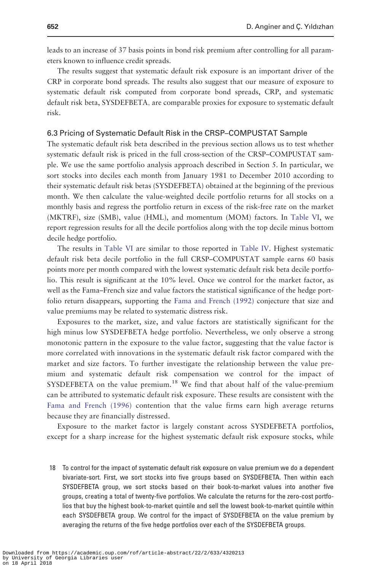leads to an increase of 37 basis points in bond risk premium after controlling for all parameters known to influence credit spreads.

The results suggest that systematic default risk exposure is an important driver of the CRP in corporate bond spreads. The results also suggest that our measure of exposure to systematic default risk computed from corporate bond spreads, CRP, and systematic default risk beta, SYSDEFBETA; are comparable proxies for exposure to systematic default risk.

#### 6.3 Pricing of Systematic Default Risk in the CRSP–COMPUSTAT Sample

The systematic default risk beta described in the previous section allows us to test whether systematic default risk is priced in the full cross-section of the CRSP–COMPUSTAT sample. We use the same portfolio analysis approach described in Section 5. In particular, we sort stocks into deciles each month from January 1981 to December 2010 according to their systematic default risk betas (SYSDEFBETA) obtained at the beginning of the previous month. We then calculate the value-weighted decile portfolio returns for all stocks on a monthly basis and regress the portfolio return in excess of the risk-free rate on the market (MKTRF), size (SMB), value (HML), and momentum (MOM) factors. In [Table VI](#page-20-0), we report regression results for all the decile portfolios along with the top decile minus bottom decile hedge portfolio.

The results in [Table VI](#page-20-0) are similar to those reported in [Table IV](#page-16-0). Highest systematic default risk beta decile portfolio in the full CRSP–COMPUSTAT sample earns 60 basis points more per month compared with the lowest systematic default risk beta decile portfolio. This result is significant at the 10% level. Once we control for the market factor, as well as the Fama–French size and value factors the statistical significance of the hedge portfolio return disappears, supporting the [Fama and French \(1992\)](#page-25-0) conjecture that size and value premiums may be related to systematic distress risk.

Exposures to the market, size, and value factors are statistically significant for the high minus low SYSDEFBETA hedge portfolio. Nevertheless, we only observe a strong monotonic pattern in the exposure to the value factor, suggesting that the value factor is more correlated with innovations in the systematic default risk factor compared with the market and size factors. To further investigate the relationship between the value premium and systematic default risk compensation we control for the impact of SYSDEFBETA on the value premium.<sup>18</sup> We find that about half of the value-premium can be attributed to systematic default risk exposure. These results are consistent with the [Fama and French \(1996\)](#page-25-0) contention that the value firms earn high average returns because they are financially distressed.

Exposure to the market factor is largely constant across SYSDEFBETA portfolios, except for a sharp increase for the highest systematic default risk exposure stocks, while

18 To control for the impact of systematic default risk exposure on value premium we do a dependent bivariate-sort. First, we sort stocks into five groups based on SYSDEFBETA. Then within each SYSDEFBETA group, we sort stocks based on their book-to-market values into another five groups, creating a total of twenty-five portfolios. We calculate the returns for the zero-cost portfolios that buy the highest book-to-market quintile and sell the lowest book-to-market quintile within each SYSDEFBETA group. We control for the impact of SYSDEFBETA on the value premium by averaging the returns of the five hedge portfolios over each of the SYSDEFBETA groups.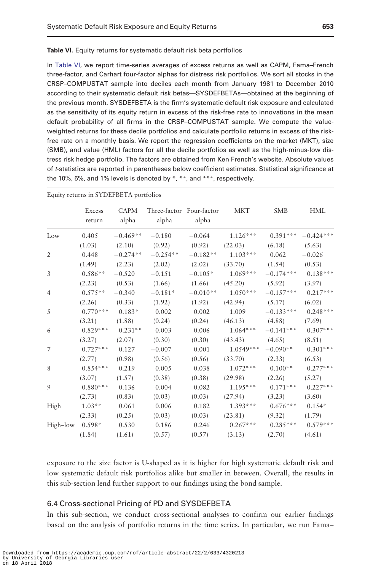<span id="page-20-0"></span>Table VI. Equity returns for systematic default risk beta portfolios

In Table VI, we report time-series averages of excess returns as well as CAPM, Fama–French three-factor, and Carhart four-factor alphas for distress risk portfolios. We sort all stocks in the CRSP–COMPUSTAT sample into deciles each month from January 1981 to December 2010 according to their systematic default risk betas—SYSDEFBETAs—obtained at the beginning of the previous month. SYSDEFBETA is the firm's systematic default risk exposure and calculated as the sensitivity of its equity return in excess of the risk-free rate to innovations in the mean default probability of all firms in the CRSP–COMPUSTAT sample. We compute the valueweighted returns for these decile portfolios and calculate portfolio returns in excess of the riskfree rate on a monthly basis. We report the regression coefficients on the market (MKT), size (SMB), and value (HML) factors for all the decile portfolios as well as the high-minus-low distress risk hedge portfolio. The factors are obtained from Ken French's website. Absolute values of t-statistics are reported in parentheses below coefficient estimates. Statistical significance at the 10%, 5%, and 1% levels is denoted by  $*, **$ , and  $***$ , respectively.

|                   | Excess<br>return | CAPM<br>alpha | Three-factor Four-factor<br>alpha | alpha    | MKT                 | <b>SMB</b>             | <b>HML</b>             |
|-------------------|------------------|---------------|-----------------------------------|----------|---------------------|------------------------|------------------------|
| Low               | 0.405            | $-0.469**$    | $-0.180$                          | $-0.064$ | $1.126***$          |                        | $0.391***$ $-0.424***$ |
|                   | (1.03)           | (2.10)        | (0.92)                            | (0.92)   | (22.03)             | (6.18)                 | (5.63)                 |
| 2                 | 0.448            | $-0.274**$    | $-0.254**$                        |          | $-0.182**$ 1.103*** | 0.062                  | $-0.026$               |
|                   | (1.49)           | (2.23)        | (2.02)                            | (2.02)   | $(33.70)$ $(1.54)$  |                        | (0.53)                 |
| 3                 | $0.586**$        | $-0.520$      | $-0.151$                          |          | $-0.105*$ 1.069***  | $-0.174***$ $0.138***$ |                        |
|                   | (2.23)           | (0.53)        | (1.66)                            | (1.66)   | (45.20)             | (5.92)                 | (3.97)                 |
| $\overline{4}$    | $0.575**$        | $-0.340$      | $-0.181*$                         |          | $-0.010**$ 1.050*** | $-0.157***$ 0.217***   |                        |
|                   | (2.26)           | (0.33)        | (1.92)                            | (1.92)   | (42.94)             | (5.17)                 | (6.02)                 |
| 5                 | $0.770***$       | $0.183*$      | 0.002                             | 0.002    | 1.009               | $-0.133***$ 0.248***   |                        |
|                   | (3.21)           | (1.88)        | (0.24)                            | (0.24)   | (46.13)             | (4.88)                 | (7.69)                 |
| 6                 | $0.829***$       | $0.231**$     | 0.003                             | 0.006    | $1.064***$          | $-0.141***$            | $0.307***$             |
|                   | (3.27)           | (2.07)        | (0.30)                            | (0.30)   | (43.43)             | (4.65)                 | (8.51)                 |
| 7                 | $0.727***$       | 0.127         | $-0.007$                          | 0.001    | $1.0549***$         | $-0.090**$             | $0.301***$             |
|                   | (2.77)           | (0.98)        | (0.56)                            | (0.56)   | (33.70)             | (2.33)                 | (6.53)                 |
| 8                 | $0.854***$       | 0.219         | 0.005                             | 0.038    | $1.072***$          | $0.100**$              | $0.277***$             |
|                   | (3.07)           | (1.57)        | (0.38)                            | (0.38)   | (29.98)             | (2.26)                 | (5.27)                 |
| 9                 | $0.880***$       | 0.136         | 0.004                             | 0.082    | $1.195***$          | $0.171***$             | $0.227***$             |
|                   | (2.73)           | (0.83)        | (0.03)                            | (0.03)   | (27.94)             | (3.23)                 | (3.60)                 |
| High              | $1.03**$         | 0.061         | 0.006                             | 0.182    | $1.393***$          | $0.676***$             | $0.154*$               |
|                   | (2.33)           | (0.25)        | (0.03)                            | (0.03)   | (23.81)             | (9.32)                 | (1.79)                 |
| High-low $0.598*$ |                  | 0.530         | 0.186                             | 0.246    | $0.267***$          | $0.285***$             | $0.579***$             |
|                   | (1.84)           | (1.61)        | (0.57)                            | (0.57)   | (3.13)              | (2.70)                 | (4.61)                 |

Equity returns in SYDEFBETA portfolios

exposure to the size factor is U-shaped as it is higher for high systematic default risk and low systematic default risk portfolios alike but smaller in between. Overall, the results in this sub-section lend further support to our findings using the bond sample.

#### 6.4 Cross-sectional Pricing of PD and SYSDEFBETA

In this sub-section, we conduct cross-sectional analyses to confirm our earlier findings based on the analysis of portfolio returns in the time series. In particular, we run Fama–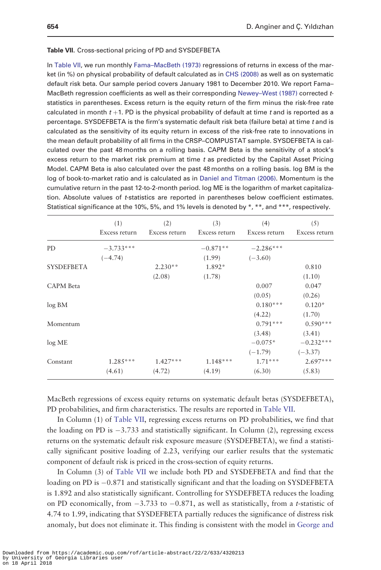#### Table VII. Cross-sectional pricing of PD and SYSDEFBETA

In Table VII, we run monthly [Fama–MacBeth \(1973\)](#page-25-0) regressions of returns in excess of the market (in %) on physical probability of default calculated as in [CHS \(2008\)](#page-24-0) as well as on systematic default risk beta. Our sample period covers January 1981 to December 2010. We report Fama– MacBeth regression coefficients as well as their corresponding [Newey–West \(1987\)](#page-26-0) corrected tstatistics in parentheses. Excess return is the equity return of the firm minus the risk-free rate calculated in month  $t + 1$ . PD is the physical probability of default at time t and is reported as a percentage. SYSDEFBETA is the firm's systematic default risk beta (failure beta) at time t and is calculated as the sensitivity of its equity return in excess of the risk-free rate to innovations in the mean default probability of all firms in the CRSP–COMPUSTAT sample. SYSDEFBETA is calculated over the past 48 months on a rolling basis. CAPM Beta is the sensitivity of a stock's excess return to the market risk premium at time  $t$  as predicted by the Capital Asset Pricing Model. CAPM Beta is also calculated over the past 48 months on a rolling basis. log BM is the log of book-to-market ratio and is calculated as in [Daniel and Titman \(2006\).](#page-24-0) Momentum is the cumulative return in the past 12-to-2-month period. log ME is the logarithm of market capitalization. Absolute values of *t*-statistics are reported in parentheses below coefficient estimates. Statistical significance at the 10%, 5%, and 1% levels is denoted by \*, \*\*, and \*\*\*, respectively.

|                   | (1)<br>Excess return | (2)<br>Excess return | (3)<br>Excess return | (4)<br>Excess return | (5)<br>Excess return |
|-------------------|----------------------|----------------------|----------------------|----------------------|----------------------|
| <b>PD</b>         | $-3.733***$          |                      | $-0.871**$           | $-2.286***$          |                      |
|                   | $(-4.74)$            |                      | (1.99)               | $(-3.60)$            |                      |
| <b>SYSDEFBETA</b> |                      | $2.230**$            | 1.892*               |                      | 0.810                |
|                   |                      | (2.08)               | (1.78)               |                      | (1.10)               |
| <b>CAPM</b> Beta  |                      |                      |                      | 0.007                | 0.047                |
|                   |                      |                      |                      | (0.05)               | (0.26)               |
| log BM            |                      |                      |                      | $0.180***$           | $0.120*$             |
|                   |                      |                      |                      | (4.22)               | (1.70)               |
| Momentum          |                      |                      |                      | $0.791***$           | $0.590***$           |
|                   |                      |                      |                      | (3.48)               | (3.41)               |
| log ME            |                      |                      |                      | $-0.075*$            | $-0.232***$          |
|                   |                      |                      |                      | $(-1.79)$            | $(-3.37)$            |
| Constant          | $1.285***$           | $1.427***$           | $1.148***$           | $1.71***$            | $2.697***$           |
|                   | (4.61)               | (4.72)               | (4.19)               | (6.30)               | (5.83)               |

MacBeth regressions of excess equity returns on systematic default betas (SYSDEFBETA), PD probabilities, and firm characteristics. The results are reported in Table VII.

In Column (1) of Table VII, regressing excess returns on PD probabilities, we find that the loading on PD is  $-3.733$  and statistically significant. In Column (2), regressing excess returns on the systematic default risk exposure measure (SYSDEFBETA), we find a statistically significant positive loading of 2.23, verifying our earlier results that the systematic component of default risk is priced in the cross-section of equity returns.

In Column (3) of Table VII we include both PD and SYSDEFBETA and find that the loading on PD is -0.871 and statistically significant and that the loading on SYSDEFBETA is 1.892 and also statistically significant. Controlling for SYSDEFBETA reduces the loading on PD economically, from  $-3.733$  to  $-0.871$ , as well as statistically, from a *t*-statistic of 4.74 to 1.99, indicating that SYSDEFBETA partially reduces the significance of distress risk anomaly, but does not eliminate it. This finding is consistent with the model in [George and](#page-25-0)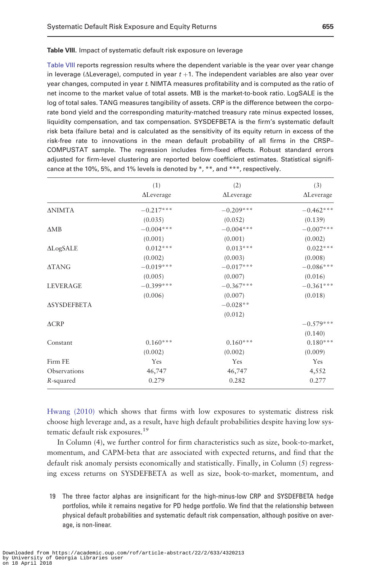<span id="page-22-0"></span>Table VIII reports regression results where the dependent variable is the year over year change in leverage ( $\Delta$ Leverage), computed in year  $t + 1$ . The independent variables are also year over year changes, computed in year t. NIMTA measures profitability and is computed as the ratio of net income to the market value of total assets. MB is the market-to-book ratio. LogSALE is the log of total sales. TANG measures tangibility of assets. CRP is the difference between the corporate bond yield and the corresponding maturity-matched treasury rate minus expected losses, liquidity compensation, and tax compensation. SYSDEFBETA is the firm's systematic default risk beta (failure beta) and is calculated as the sensitivity of its equity return in excess of the risk-free rate to innovations in the mean default probability of all firms in the CRSP– COMPUSTAT sample. The regression includes firm-fixed effects. Robust standard errors adjusted for firm-level clustering are reported below coefficient estimates. Statistical significance at the 10%, 5%, and 1% levels is denoted by \*, \*\*, and \*\*\*, respectively.

|                    | (1)               | (2)               | (3)               |
|--------------------|-------------------|-------------------|-------------------|
|                    | $\Delta$ Leverage | $\Delta$ Leverage | $\Delta$ Leverage |
| <b>ANIMTA</b>      | $-0.217***$       | $-0.209***$       | $-0.462***$       |
|                    | (0.035)           | (0.052)           | (0.139)           |
| $\triangle MB$     | $-0.004***$       | $-0.004***$       | $-0.007***$       |
|                    | (0.001)           | (0.001)           | (0.002)           |
| <b>ALogSALE</b>    | $0.012***$        | $0.013***$        | $0.022***$        |
|                    | (0.002)           | (0.003)           | (0.008)           |
| <b>ATANG</b>       | $-0.019***$       | $-0.017***$       | $-0.086***$       |
|                    | (0.005)           | (0.007)           | (0.016)           |
| <b>LEVERAGE</b>    | $-0.399***$       | $-0.367***$       | $-0.361***$       |
|                    | (0.006)           | (0.007)           | (0.018)           |
| <b>ASYSDEFBETA</b> |                   | $-0.028**$        |                   |
|                    |                   | (0.012)           |                   |
| $\triangle$ CRP    |                   |                   | $-0.579***$       |
|                    |                   |                   | (0.140)           |
| Constant           | $0.160***$        | $0.160***$        | $0.180***$        |
|                    | (0.002)           | (0.002)           | (0.009)           |
| Firm FE            | Yes               | Yes               | Yes               |
| Observations       | 46,747            | 46,747            | 4,552             |
| R-squared          | 0.279             | 0.282             | 0.277             |

[Hwang \(2010\)](#page-25-0) which shows that firms with low exposures to systematic distress risk choose high leverage and, as a result, have high default probabilities despite having low systematic default risk exposures.<sup>19</sup>

In Column (4), we further control for firm characteristics such as size, book-to-market, momentum, and CAPM-beta that are associated with expected returns, and find that the default risk anomaly persists economically and statistically. Finally, in Column (5) regressing excess returns on SYSDEFBETA as well as size, book-to-market, momentum, and

19 The three factor alphas are insignificant for the high-minus-low CRP and SYSDEFBETA hedge portfolios, while it remains negative for PD hedge portfolio. We find that the relationship between physical default probabilities and systematic default risk compensation, although positive on average, is non-linear.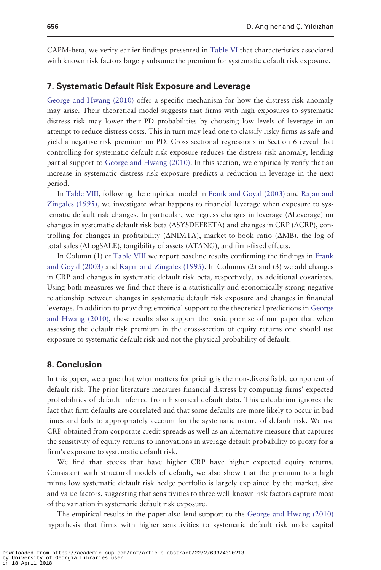CAPM-beta, we verify earlier findings presented in [Table VI](#page-20-0) that characteristics associated with known risk factors largely subsume the premium for systematic default risk exposure.

#### 7. Systematic Default Risk Exposure and Leverage

[George and Hwang \(2010\)](#page-25-0) offer a specific mechanism for how the distress risk anomaly may arise. Their theoretical model suggests that firms with high exposures to systematic distress risk may lower their PD probabilities by choosing low levels of leverage in an attempt to reduce distress costs. This in turn may lead one to classify risky firms as safe and yield a negative risk premium on PD. Cross-sectional regressions in Section 6 reveal that controlling for systematic default risk exposure reduces the distress risk anomaly, lending partial support to [George and Hwang \(2010\).](#page-25-0) In this section, we empirically verify that an increase in systematic distress risk exposure predicts a reduction in leverage in the next period.

In [Table VIII,](#page-22-0) following the empirical model in [Frank and Goyal \(2003\)](#page-25-0) and [Rajan and](#page-26-0) [Zingales \(1995\)](#page-26-0), we investigate what happens to financial leverage when exposure to systematic default risk changes. In particular, we regress changes in leverage  $(\Delta \text{Leverage})$  on changes in systematic default risk beta  $(\Delta SYSDEFEETA)$  and changes in CRP ( $\Delta CRP$ ), controlling for changes in profitability ( $\Delta$ NIMTA), market-to-book ratio ( $\Delta$ MB), the log of total sales ( $\Delta LogSALE$ ), tangibility of assets ( $\Delta TANG$ ), and firm-fixed effects.

In Column (1) of [Table VIII](#page-22-0) we report baseline results confirming the findings in [Frank](#page-25-0) [and Goyal \(2003\)](#page-25-0) and [Rajan and Zingales \(1995\)](#page-26-0). In Columns (2) and (3) we add changes in CRP and changes in systematic default risk beta, respectively, as additional covariates. Using both measures we find that there is a statistically and economically strong negative relationship between changes in systematic default risk exposure and changes in financial leverage. In addition to providing empirical support to the theoretical predictions in [George](#page-25-0) [and Hwang \(2010\)](#page-25-0), these results also support the basic premise of our paper that when assessing the default risk premium in the cross-section of equity returns one should use exposure to systematic default risk and not the physical probability of default.

#### 8. Conclusion

In this paper, we argue that what matters for pricing is the non-diversifiable component of default risk. The prior literature measures financial distress by computing firms' expected probabilities of default inferred from historical default data. This calculation ignores the fact that firm defaults are correlated and that some defaults are more likely to occur in bad times and fails to appropriately account for the systematic nature of default risk. We use CRP obtained from corporate credit spreads as well as an alternative measure that captures the sensitivity of equity returns to innovations in average default probability to proxy for a firm's exposure to systematic default risk.

We find that stocks that have higher CRP have higher expected equity returns. Consistent with structural models of default, we also show that the premium to a high minus low systematic default risk hedge portfolio is largely explained by the market, size and value factors, suggesting that sensitivities to three well-known risk factors capture most of the variation in systematic default risk exposure.

The empirical results in the paper also lend support to the [George and Hwang \(2010\)](#page-25-0) hypothesis that firms with higher sensitivities to systematic default risk make capital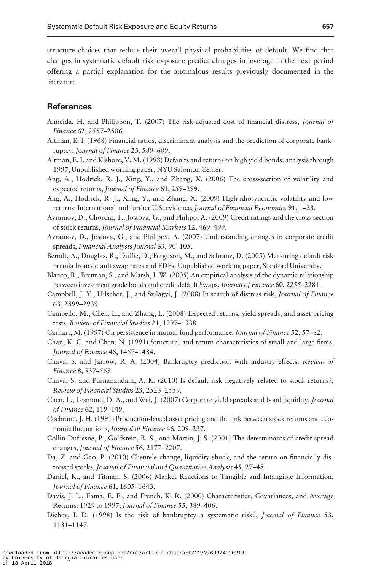<span id="page-24-0"></span>structure choices that reduce their overall physical probabilities of default. We find that changes in systematic default risk exposure predict changes in leverage in the next period offering a partial explanation for the anomalous results previously documented in the literature.

# **References**

- Almeida, H. and Philippon, T. (2007) The risk-adjusted cost of financial distress, Journal of Finance 62, 2557–2586.
- Altman, E. I. (1968) Financial ratios, discriminant analysis and the prediction of corporate bankruptcy, Journal of Finance 23, 589–609.
- Altman, E. I. and Kishore, V. M. (1998) Defaults and returns on high yield bonds: analysis through 1997, Unpublished working paper, NYU Salomon Center.
- Ang, A., Hodrick, R. J., Xing, Y., and Zhang, X. (2006) The cross-section of volatility and expected returns, Journal of Finance 61, 259–299.
- Ang, A., Hodrick, R. J., Xing, Y., and Zhang, X. (2009) High idiosyncratic volatility and low returns: International and further U.S. evidence, Journal of Financial Economics 91, 1-23.
- Avramov, D., Chordia, T., Jostova, G., and Philipo, A. (2009) Credit ratings and the cross-section of stock returns, Journal of Financial Markets 12, 469–499.
- Avramov, D., Jostova, G., and Philipov, A. (2007) Understanding changes in corporate credit spreads, Financial Analysts Journal 63, 90–105.
- Berndt, A., Douglas, R., Duffie, D., Ferguson, M., and Schranz, D. (2005) Measuring default risk premia from default swap rates and EDFs. Unpublished working paper, Stanford University.
- Blanco, R., Brennan, S., and Marsh, I. W. (2005) An empirical analysis of the dynamic relationship between investment grade bonds and credit default Swaps, Journal of Finance 60, 2255–2281.
- Campbell, J. Y., Hilscher, J., and Szilagyi, J. (2008) In search of distress risk, Journal of Finance 63, 2899–2939.
- Campello, M., Chen, L., and Zhang, L. (2008) Expected returns, yield spreads, and asset pricing tests, Review of Financial Studies 21, 1297–1338.
- Carhart, M. (1997) On persistence in mutual fund performance, Journal of Finance 52, 57–82.
- Chan, K. C. and Chen, N. (1991) Structural and return characteristics of small and large firms, Journal of Finance 46, 1467–1484.
- Chava, S. and Jarrow, R. A. (2004) Bankruptcy prediction with industry effects, Review of Finance 8, 537–569.
- Chava, S. and Purnanandam, A. K. (2010) Is default risk negatively related to stock returns?, Review of Financial Studies 23, 2523–2559.
- Chen, L., Lesmond, D. A., and Wei, J. (2007) Corporate yield spreads and bond liquidity, Journal of Finance 62, 119–149.
- Cochrane, J. H. (1991) Production-based asset pricing and the link between stock returns and economic fluctuations, Journal of Finance 46, 209-237.
- Collin-Dufresne, P., Goldstein, R. S., and Martin, J. S. (2001) The determinants of credit spread changes, Journal of Finance 56, 2177–2207.
- Da, Z. and Gao, P. (2010) Clientele change, liquidity shock, and the return on financially distressed stocks, Journal of Financial and Quantitative Analysis 45, 27–48.
- Daniel, K., and Titman, S. (2006) Market Reactions to Tangible and Intangible Information, Journal of Finance 61, 1605–1643.
- Davis, J. L., Fama, E. F., and French, K. R. (2000) Characteristics, Covariances, and Average Returns: 1929 to 1997, Journal of Finance 55, 389–406.
- Dichev, I. D. (1998) Is the risk of bankruptcy a systematic risk?, Journal of Finance 53, 1131–1147.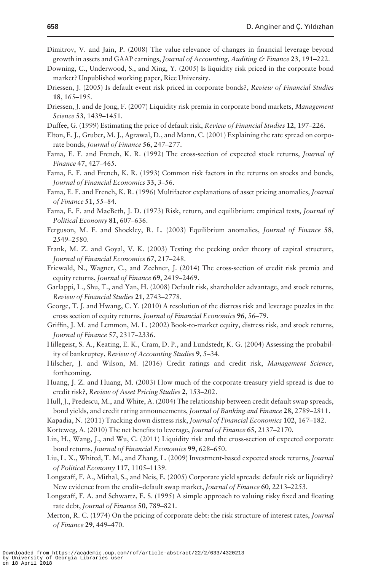- <span id="page-25-0"></span>Dimitrov, V. and Jain, P. (2008) The value-relevance of changes in financial leverage beyond growth in assets and GAAP earnings, *Journal of Accounting*, *Auditing*  $\circ$  *Finance* 23, 191–222.
- Downing, C., Underwood, S., and Xing, Y. (2005) Is liquidity risk priced in the corporate bond market? Unpublished working paper, Rice University.
- Driessen, J. (2005) Is default event risk priced in corporate bonds?, Review of Financial Studies 18, 165–195.
- Driessen, J. and de Jong, F. (2007) Liquidity risk premia in corporate bond markets, Management Science 53, 1439–1451.
- Duffee, G. (1999) Estimating the price of default risk, Review of Financial Studies 12, 197–226.
- Elton, E. J., Gruber, M. J., Agrawal, D., and Mann, C. (2001) Explaining the rate spread on corporate bonds, Journal of Finance 56, 247-277.
- Fama, E. F. and French, K. R. (1992) The cross-section of expected stock returns, Journal of Finance 47, 427–465.
- Fama, E. F. and French, K. R. (1993) Common risk factors in the returns on stocks and bonds, Journal of Financial Economics 33, 3–56.
- Fama, E. F. and French, K. R. (1996) Multifactor explanations of asset pricing anomalies, Journal of Finance 51, 55–84.
- Fama, E. F. and MacBeth, J. D. (1973) Risk, return, and equilibrium: empirical tests, Journal of Political Economy 81, 607–636.
- Ferguson, M. F. and Shockley, R. L. (2003) Equilibrium anomalies, Journal of Finance 58, 2549–2580.
- Frank, M. Z. and Goyal, V. K. (2003) Testing the pecking order theory of capital structure, Journal of Financial Economics 67, 217–248.
- Friewald, N., Wagner, C., and Zechner, J. (2014) The cross-section of credit risk premia and equity returns, Journal of Finance 69, 2419–2469.
- Garlappi, L., Shu, T., and Yan, H. (2008) Default risk, shareholder advantage, and stock returns, Review of Financial Studies 21, 2743–2778.
- George, T. J. and Hwang, C. Y. (2010) A resolution of the distress risk and leverage puzzles in the cross section of equity returns, Journal of Financial Economics 96, 56–79.
- Griffin, J. M. and Lemmon, M. L. (2002) Book-to-market equity, distress risk, and stock returns, Journal of Finance 57, 2317–2336.
- Hillegeist, S. A., Keating, E. K., Cram, D. P., and Lundstedt, K. G. (2004) Assessing the probability of bankruptcy, Review of Accounting Studies 9, 5–34.
- Hilscher, J. and Wilson, M. (2016) Credit ratings and credit risk, Management Science, forthcoming.
- Huang, J. Z. and Huang, M. (2003) How much of the corporate-treasury yield spread is due to credit risk?, Review of Asset Pricing Studies 2, 153–202.
- Hull, J., Predescu, M., and White, A. (2004) The relationship between credit default swap spreads, bond yields, and credit rating announcements, Journal of Banking and Finance 28, 2789–2811.
- Kapadia, N. (2011) Tracking down distress risk, Journal of Financial Economics 102, 167-182.
- Korteweg, A. (2010) The net benefits to leverage, Journal of Finance 65, 2137–2170.
- Lin, H., Wang, J., and Wu, C. (2011) Liquidity risk and the cross-section of expected corporate bond returns, Journal of Financial Economics 99, 628–650.
- Liu, L. X., Whited, T. M., and Zhang, L. (2009) Investment-based expected stock returns, Journal of Political Economy 117, 1105–1139.
- Longstaff, F. A., Mithal, S., and Neis, E. (2005) Corporate yield spreads: default risk or liquidity? New evidence from the credit–default swap market, Journal of Finance 60, 2213–2253.
- Longstaff, F. A. and Schwartz, E. S. (1995) A simple approach to valuing risky fixed and floating rate debt, Journal of Finance 50, 789–821.
- Merton, R. C. (1974) On the pricing of corporate debt: the risk structure of interest rates, Journal of Finance 29, 449–470.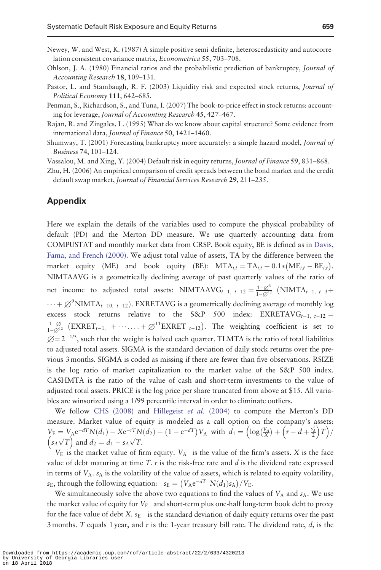- <span id="page-26-0"></span>Newey, W. and West, K. (1987) A simple positive semi-definite, heteroscedasticity and autocorrelation consistent covariance matrix, Econometrica 55, 703–708.
- Ohlson, J. A. (1980) Financial ratios and the probabilistic prediction of bankruptcy, Journal of Accounting Research 18, 109–131.
- Pastor, L. and Stambaugh, R. F. (2003) Liquidity risk and expected stock returns, Journal of Political Economy 111, 642–685.
- Penman, S., Richardson, S., and Tuna, I. (2007) The book-to-price effect in stock returns: accounting for leverage, Journal of Accounting Research 45, 427–467.
- Rajan, R. and Zingales, L. (1995) What do we know about capital structure? Some evidence from international data, Journal of Finance 50, 1421–1460.
- Shumway, T. (2001) Forecasting bankruptcy more accurately: a simple hazard model, Journal of Business 74, 101–124.
- Vassalou, M. and Xing, Y. (2004) Default risk in equity returns, Journal of Finance 59, 831–868.

Zhu, H. (2006) An empirical comparison of credit spreads between the bond market and the credit default swap market, Journal of Financial Services Research 29, 211–235.

# Appendix

Here we explain the details of the variables used to compute the physical probability of default (PD) and the Merton DD measure. We use quarterly accounting data from COMPUSTAT and monthly market data from CRSP. Book equity, BE is defined as in [Davis,](#page-24-0) [Fama, and French \(2000\).](#page-24-0) We adjust total value of assets, TA by the difference between the market equity (ME) and book equity (BE):  $\text{MTA}_{i,t} = \text{TA}_{i,t} + 0.1 * (\text{ME}_{i,t} - \text{BE}_{i,t})$ . NIMTAAVG is a geometrically declining average of past quarterly values of the ratio of net income to adjusted total assets: NIMTAAVG<sub>t-1, t-12</sub> =  $\frac{1-\beta^3}{1-\beta^{12}}$  (NIMTA<sub>t-1, t-3</sub>+  $\cdots + \varnothing^9$ NIMTA<sub>t-10, t-12</sub>). EXRETAVG is a geometrically declining average of monthly log excess stock returns relative to the S&P 500 index:  $EXRETAVG_{t-1, t-12} =$  $\frac{1-\varnothing}{1-\varnothing^{12}}$  (EXRET<sub>t-1,</sub> + ... ... +  $\varnothing^{11}$ EXRET<sub>t-12</sub>). The weighting coefficient is set to  $\varnothing = 2^{-1/3}$ , such that the weight is halved each quarter. TLMTA is the ratio of total liabilities to adjusted total assets. SIGMA is the standard deviation of daily stock returns over the previous 3 months. SIGMA is coded as missing if there are fewer than five observations. RSIZE is the log ratio of market capitalization to the market value of the S&P 500 index. CASHMTA is the ratio of the value of cash and short-term investments to the value of adjusted total assets. PRICE is the log price per share truncated from above at \$15. All variables are winsorized using a 1/99 percentile interval in order to eliminate outliers.

We follow [CHS \(2008\)](#page-24-0) and [Hillegeist](#page-25-0) et al. (2004) to compute the Merton's DD measure. Market value of equity is modeled as a call option on the company's assets:  $V_{\rm E} = V_{\rm A} e^{-dT} N(d_1) - X e^{-rT} N(d_2) + (1 - e^{-dT}) V_{\rm A}$  with  $d_1 = \left( \log \left( \frac{V_{\rm A}}{X} \right) + \left( r - d + \frac{z_1^2}{2} \right) T \right)$  $\begin{pmatrix} s_A \sqrt{T} \end{pmatrix}$  and  $d_2 = d_1 - s_A \sqrt{T}$ .

 $V_{\rm E}$  is the market value of firm equity.  $V_{\rm A}$  is the value of the firm's assets. X is the face value of debt maturing at time T.  $r$  is the risk-free rate and  $d$  is the dividend rate expressed in terms of  $V_A$ .  $s_A$  is the volatility of the value of assets, which is related to equity volatility,  $s_{\text{E}}$ , through the following equation:  $s_{\text{E}} = (V_{\text{A}}e^{-dT} N(d_1) s_{\text{A}}) / V_{\text{E}}$ .

We simultaneously solve the above two equations to find the values of  $V_A$  and  $s_A$ . We use the market value of equity for  $V_E$  and short-term plus one-half long-term book debt to proxy for the face value of debt X.  $s_E$  is the standard deviation of daily equity returns over the past 3 months. T equals 1 year, and  $r$  is the 1-year treasury bill rate. The dividend rate,  $d$ , is the